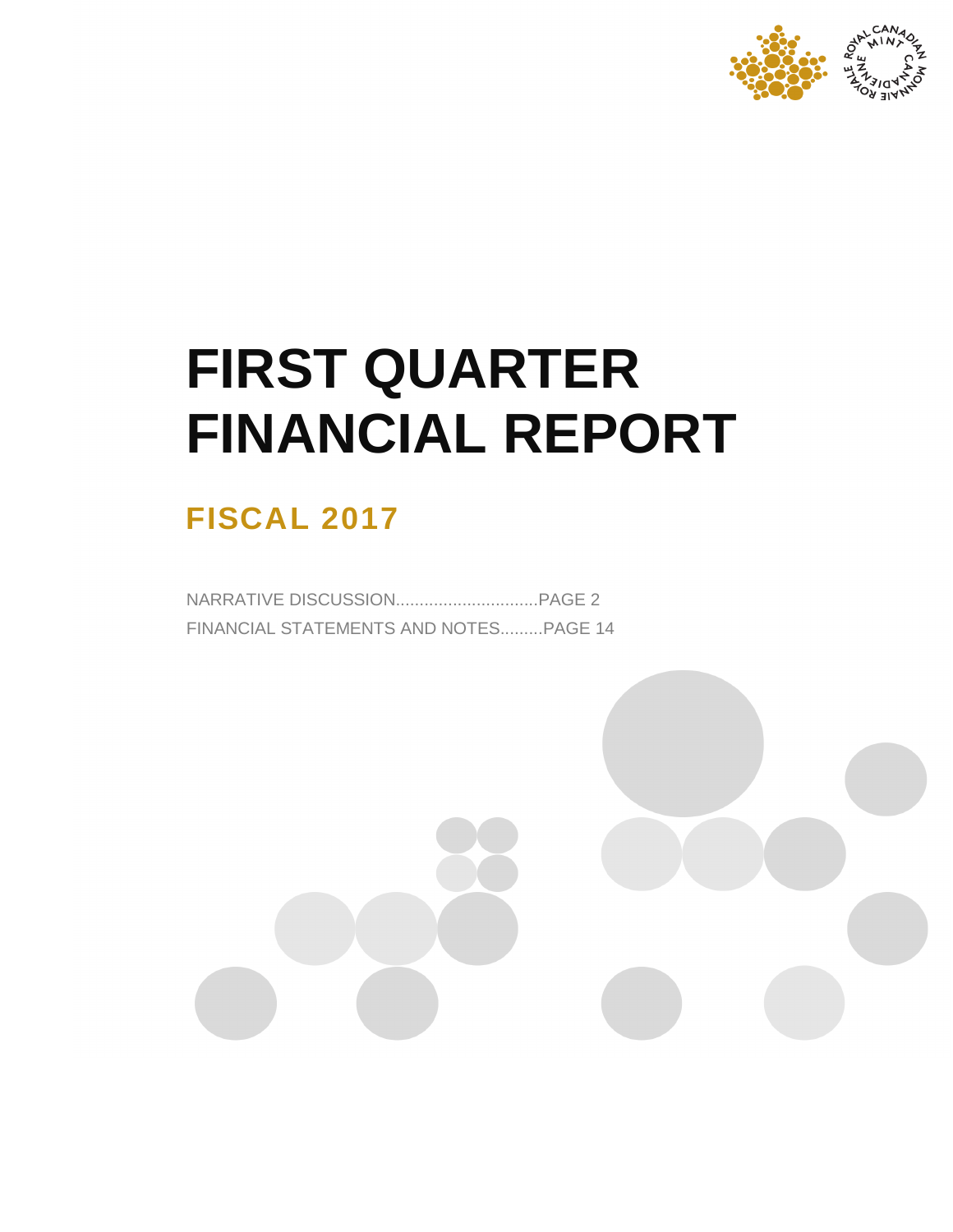

# **FIRST QUARTER FINANCIAL REPORT**

# **FISCAL 2017**

NARRATIVE DISCUSSION..............................PAGE 2 FINANCIAL STATEMENTS AND NOTES.........PAGE 14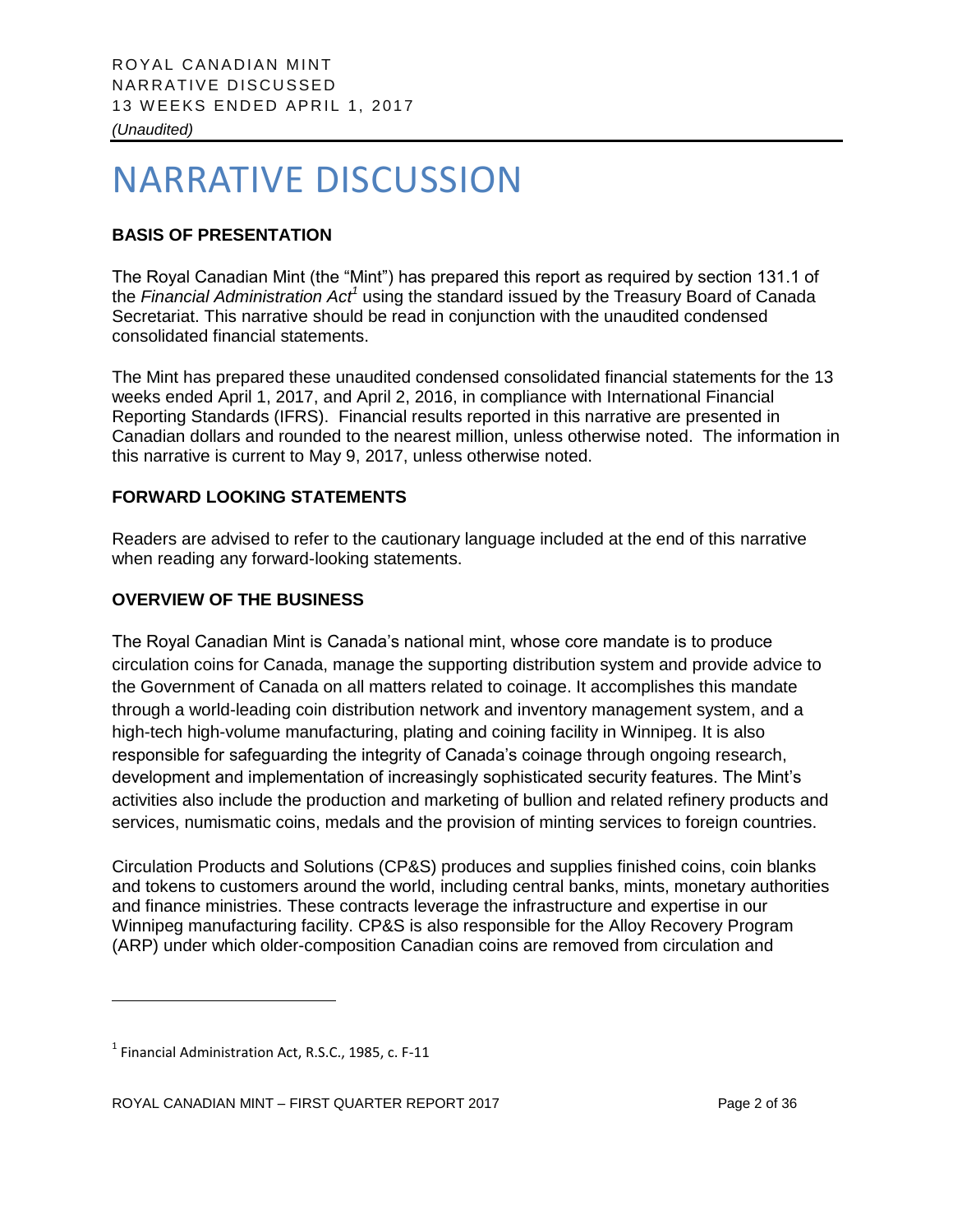# NARRATIVE DISCUSSION

# **BASIS OF PRESENTATION**

The Royal Canadian Mint (the "Mint") has prepared this report as required by section 131.1 of the *Financial Administration Act<sup>1</sup>* using the standard issued by the Treasury Board of Canada Secretariat. This narrative should be read in conjunction with the unaudited condensed consolidated financial statements.

The Mint has prepared these unaudited condensed consolidated financial statements for the 13 weeks ended April 1, 2017, and April 2, 2016, in compliance with International Financial Reporting Standards (IFRS). Financial results reported in this narrative are presented in Canadian dollars and rounded to the nearest million, unless otherwise noted. The information in this narrative is current to May 9, 2017, unless otherwise noted.

# **FORWARD LOOKING STATEMENTS**

Readers are advised to refer to the cautionary language included at the end of this narrative when reading any forward-looking statements.

# **OVERVIEW OF THE BUSINESS**

The Royal Canadian Mint is Canada's national mint, whose core mandate is to produce circulation coins for Canada, manage the supporting distribution system and provide advice to the Government of Canada on all matters related to coinage. It accomplishes this mandate through a world-leading coin distribution network and inventory management system, and a high-tech high-volume manufacturing, plating and coining facility in Winnipeg. It is also responsible for safeguarding the integrity of Canada's coinage through ongoing research, development and implementation of increasingly sophisticated security features. The Mint's activities also include the production and marketing of bullion and related refinery products and services, numismatic coins, medals and the provision of minting services to foreign countries.

Circulation Products and Solutions (CP&S) produces and supplies finished coins, coin blanks and tokens to customers around the world, including central banks, mints, monetary authorities and finance ministries. These contracts leverage the infrastructure and expertise in our Winnipeg manufacturing facility. CP&S is also responsible for the Alloy Recovery Program (ARP) under which older-composition Canadian coins are removed from circulation and

 $\overline{a}$ 

 $<sup>1</sup>$  Financial Administration Act, R.S.C., 1985, c. F-11</sup>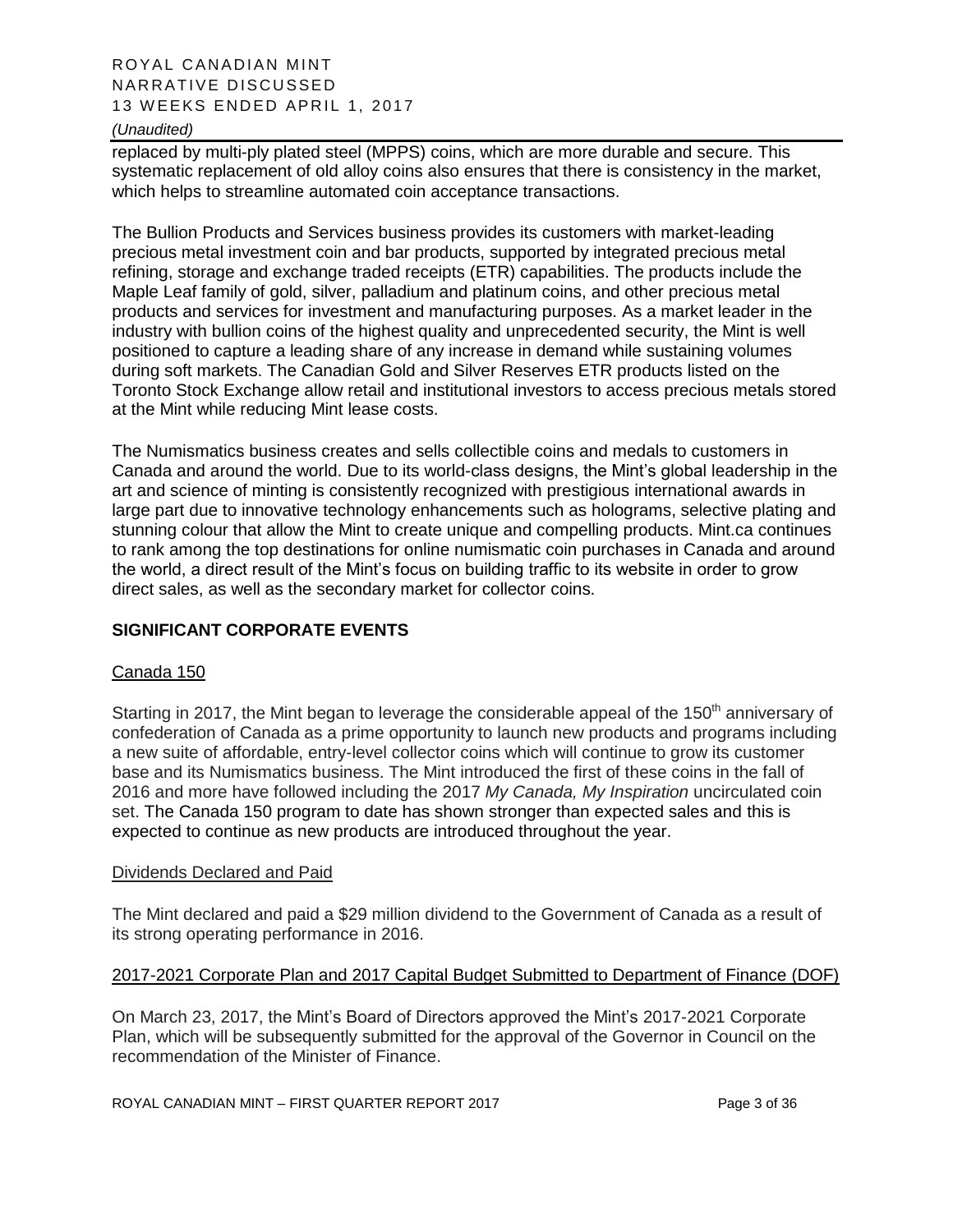# ROYAL CANADIAN MINT NARRATIVE DISCUSSED 13 WEEKS ENDED APRIL 1, 2017

#### *(Unaudited)*

replaced by multi-ply plated steel (MPPS) coins, which are more durable and secure. This systematic replacement of old alloy coins also ensures that there is consistency in the market, which helps to streamline automated coin acceptance transactions.

The Bullion Products and Services business provides its customers with market-leading precious metal investment coin and bar products, supported by integrated precious metal refining, storage and exchange traded receipts (ETR) capabilities. The products include the Maple Leaf family of gold, silver, palladium and platinum coins, and other precious metal products and services for investment and manufacturing purposes. As a market leader in the industry with bullion coins of the highest quality and unprecedented security, the Mint is well positioned to capture a leading share of any increase in demand while sustaining volumes during soft markets. The Canadian Gold and Silver Reserves ETR products listed on the Toronto Stock Exchange allow retail and institutional investors to access precious metals stored at the Mint while reducing Mint lease costs.

The Numismatics business creates and sells collectible coins and medals to customers in Canada and around the world. Due to its world-class designs, the Mint's global leadership in the art and science of minting is consistently recognized with prestigious international awards in large part due to innovative technology enhancements such as holograms, selective plating and stunning colour that allow the Mint to create unique and compelling products. Mint.ca continues to rank among the top destinations for online numismatic coin purchases in Canada and around the world, a direct result of the Mint's focus on building traffic to its website in order to grow direct sales, as well as the secondary market for collector coins.

#### **SIGNIFICANT CORPORATE EVENTS**

#### Canada 150

Starting in 2017, the Mint began to leverage the considerable appeal of the 150<sup>th</sup> anniversary of confederation of Canada as a prime opportunity to launch new products and programs including a new suite of affordable, entry-level collector coins which will continue to grow its customer base and its Numismatics business. The Mint introduced the first of these coins in the fall of 2016 and more have followed including the 2017 *My Canada, My Inspiration* uncirculated coin set. The Canada 150 program to date has shown stronger than expected sales and this is expected to continue as new products are introduced throughout the year.

#### Dividends Declared and Paid

The Mint declared and paid a \$29 million dividend to the Government of Canada as a result of its strong operating performance in 2016.

#### 2017-2021 Corporate Plan and 2017 Capital Budget Submitted to Department of Finance (DOF)

On March 23, 2017, the Mint's Board of Directors approved the Mint's 2017-2021 Corporate Plan, which will be subsequently submitted for the approval of the Governor in Council on the recommendation of the Minister of Finance.

ROYAL CANADIAN MINT – FIRST QUARTER REPORT 2017 Page 3 of 36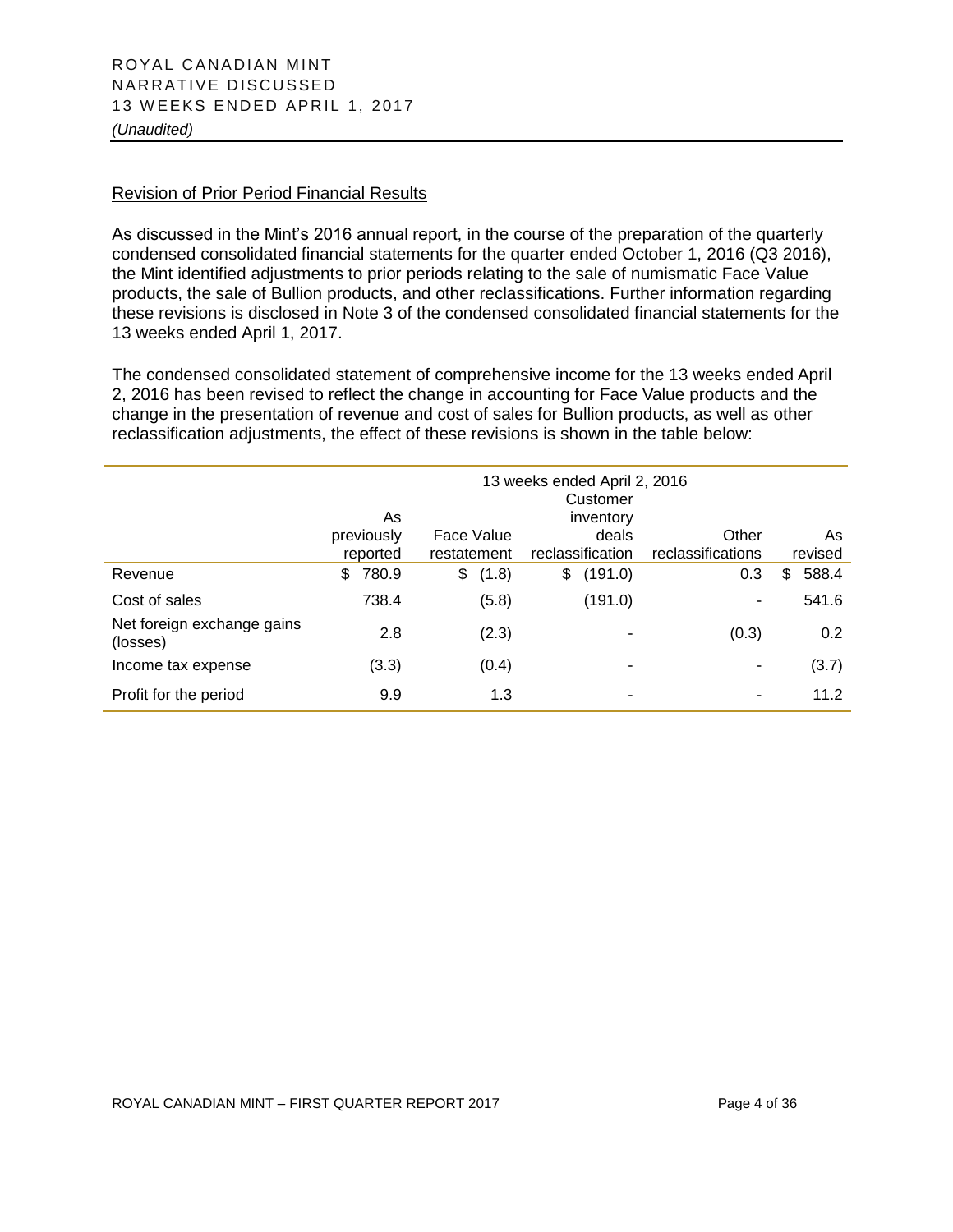#### Revision of Prior Period Financial Results

As discussed in the Mint's 2016 annual report, in the course of the preparation of the quarterly condensed consolidated financial statements for the quarter ended October 1, 2016 (Q3 2016), the Mint identified adjustments to prior periods relating to the sale of numismatic Face Value products, the sale of Bullion products, and other reclassifications. Further information regarding these revisions is disclosed in Note 3 of the condensed consolidated financial statements for the 13 weeks ended April 1, 2017.

The condensed consolidated statement of comprehensive income for the 13 weeks ended April 2, 2016 has been revised to reflect the change in accounting for Face Value products and the change in the presentation of revenue and cost of sales for Bullion products, as well as other reclassification adjustments, the effect of these revisions is shown in the table below:

|                                        | 13 weeks ended April 2, 2016 |             |                  |                   |             |
|----------------------------------------|------------------------------|-------------|------------------|-------------------|-------------|
|                                        | Customer<br>As<br>inventory  |             |                  |                   |             |
|                                        | previously                   | Face Value  | deals            | Other             | As          |
|                                        | reported                     | restatement | reclassification | reclassifications | revised     |
| Revenue                                | 780.9<br>\$                  | \$<br>(1.8) | \$<br>(191.0)    | 0.3               | 588.4<br>\$ |
| Cost of sales                          | 738.4                        | (5.8)       | (191.0)          | ۰                 | 541.6       |
| Net foreign exchange gains<br>(losses) | 2.8                          | (2.3)       |                  | (0.3)             | 0.2         |
| Income tax expense                     | (3.3)                        | (0.4)       | ٠                | ۰                 | (3.7)       |
| Profit for the period                  | 9.9                          | 1.3         |                  |                   | 11.2        |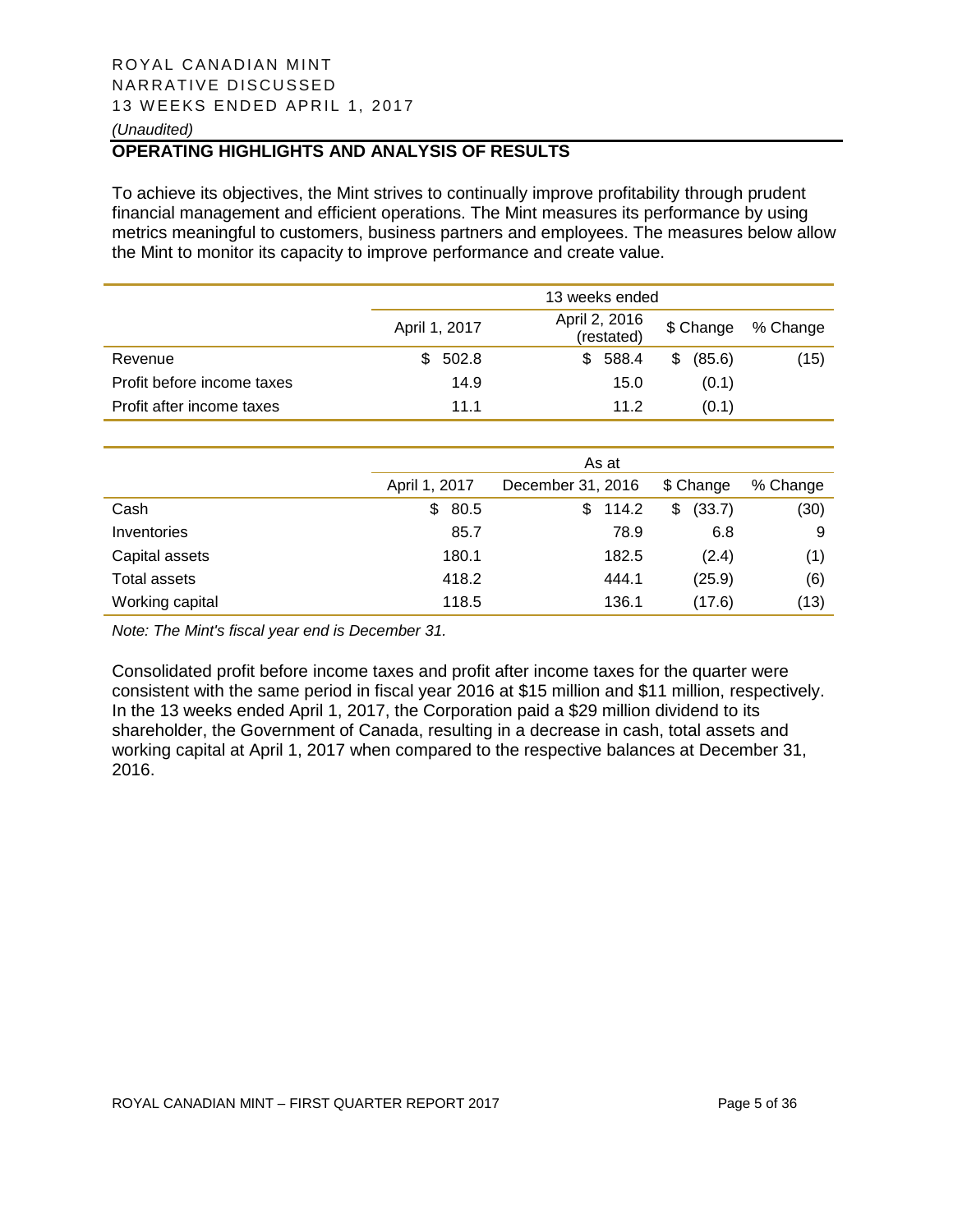#### ROYAL CANADIAN MINT NARRATIVE DISCUSSED 13 WEEKS ENDED APRIL 1, 2017 *(Unaudited)*

# **OPERATING HIGHLIGHTS AND ANALYSIS OF RESULTS**

To achieve its objectives, the Mint strives to continually improve profitability through prudent financial management and efficient operations. The Mint measures its performance by using metrics meaningful to customers, business partners and employees. The measures below allow the Mint to monitor its capacity to improve performance and create value.

|                            |               | 13 weeks ended              |             |          |
|----------------------------|---------------|-----------------------------|-------------|----------|
|                            | April 1, 2017 | April 2, 2016<br>(restated) | \$ Change   | % Change |
| Revenue                    | 502.8<br>SS.  | \$588.4                     | (85.6)<br>S | (15)     |
| Profit before income taxes | 14.9          | 15.0                        | (0.1)       |          |
| Profit after income taxes  | 11.1          | 11.2                        | (0.1)       |          |

|                     | As at         |                   |              |          |  |
|---------------------|---------------|-------------------|--------------|----------|--|
|                     | April 1, 2017 | December 31, 2016 | \$ Change    | % Change |  |
| Cash                | \$80.5        | 114.2<br>\$.      | (33.7)<br>\$ | (30)     |  |
| Inventories         | 85.7          | 78.9              | 6.8          | 9        |  |
| Capital assets      | 180.1         | 182.5             | (2.4)        | (1)      |  |
| <b>Total assets</b> | 418.2         | 444.1             | (25.9)       | (6)      |  |
| Working capital     | 118.5         | 136.1             | (17.6)       | (13)     |  |

*Note: The Mint's fiscal year end is December 31.* 

Consolidated profit before income taxes and profit after income taxes for the quarter were consistent with the same period in fiscal year 2016 at \$15 million and \$11 million, respectively. In the 13 weeks ended April 1, 2017, the Corporation paid a \$29 million dividend to its shareholder, the Government of Canada, resulting in a decrease in cash, total assets and working capital at April 1, 2017 when compared to the respective balances at December 31, 2016.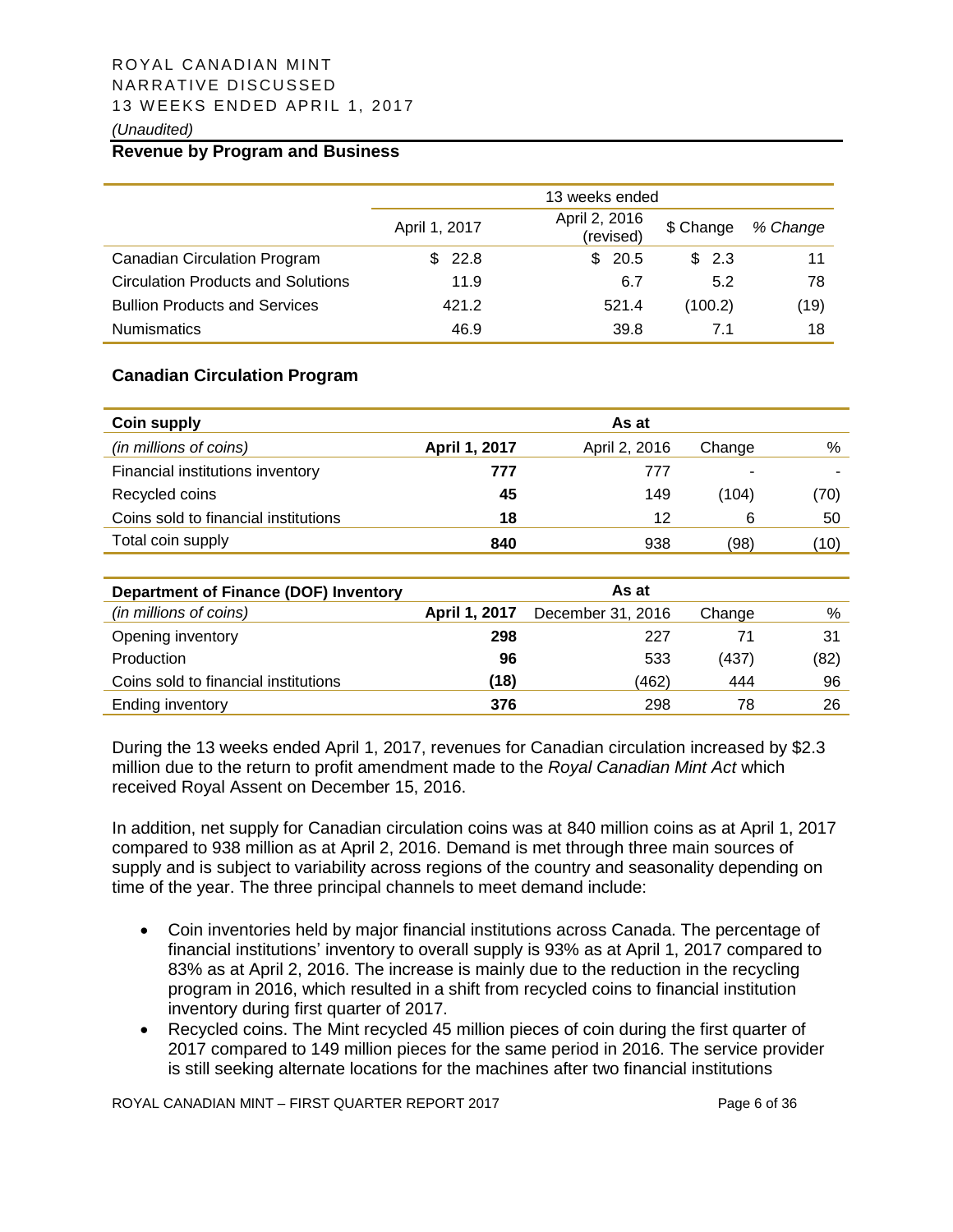# ROYAL CANADIAN MINT NARRATIVE DISCUSSED 13 WEEKS ENDED APRIL 1, 2017

#### *(Unaudited)*

# **Revenue by Program and Business**

|                                      |               | 13 weeks ended             |           |          |
|--------------------------------------|---------------|----------------------------|-----------|----------|
|                                      | April 1, 2017 | April 2, 2016<br>(revised) | \$ Change | % Change |
| <b>Canadian Circulation Program</b>  | \$22.8        | \$20.5                     | \$2.3     | 11       |
| Circulation Products and Solutions   | 11.9          | 6.7                        | 5.2       | 78       |
| <b>Bullion Products and Services</b> | 421.2         | 521.4                      | (100.2)   | (19)     |
| <b>Numismatics</b>                   | 46.9          | 39.8                       | 7.1       | 18       |

#### **Canadian Circulation Program**

| <b>Coin supply</b>                   |               | As at         |        |      |
|--------------------------------------|---------------|---------------|--------|------|
| (in millions of coins)               | April 1, 2017 | April 2, 2016 | Change | %    |
| Financial institutions inventory     | 777           | 777           | -      |      |
| Recycled coins                       | 45            | 149           | (104)  | (70) |
| Coins sold to financial institutions | 18            | 12            | 6      | 50   |
| Total coin supply                    | 840           | 938           | (98)   | 10)  |

| Department of Finance (DOF) Inventory |                      | As at             |        |      |
|---------------------------------------|----------------------|-------------------|--------|------|
| (in millions of coins)                | <b>April 1, 2017</b> | December 31, 2016 | Change | %    |
| Opening inventory                     | 298                  | 227               | 71     | 31   |
| Production                            | 96                   | 533               | (437)  | (82) |
| Coins sold to financial institutions  | (18)                 | (462)             | 444    | 96   |
| Ending inventory                      | 376                  | 298               | 78     | 26   |

During the 13 weeks ended April 1, 2017, revenues for Canadian circulation increased by \$2.3 million due to the return to profit amendment made to the *Royal Canadian Mint Act* which received Royal Assent on December 15, 2016.

In addition, net supply for Canadian circulation coins was at 840 million coins as at April 1, 2017 compared to 938 million as at April 2, 2016. Demand is met through three main sources of supply and is subject to variability across regions of the country and seasonality depending on time of the year. The three principal channels to meet demand include:

- Coin inventories held by major financial institutions across Canada. The percentage of financial institutions' inventory to overall supply is 93% as at April 1, 2017 compared to 83% as at April 2, 2016. The increase is mainly due to the reduction in the recycling program in 2016, which resulted in a shift from recycled coins to financial institution inventory during first quarter of 2017.
- Recycled coins. The Mint recycled 45 million pieces of coin during the first quarter of 2017 compared to 149 million pieces for the same period in 2016. The service provider is still seeking alternate locations for the machines after two financial institutions

ROYAL CANADIAN MINT – FIRST QUARTER REPORT 2017 Page 6 of 36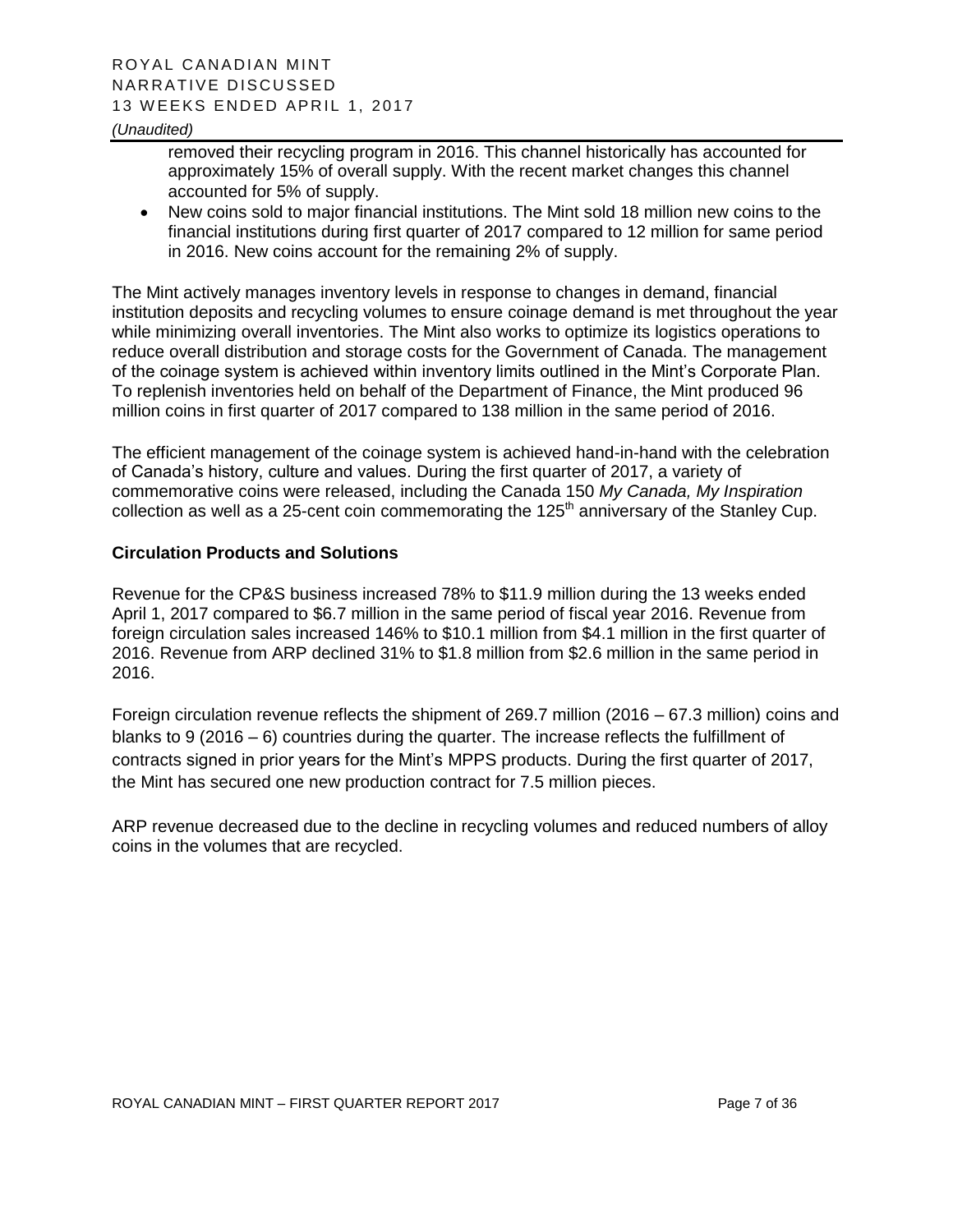#### *(Unaudited)*

removed their recycling program in 2016. This channel historically has accounted for approximately 15% of overall supply. With the recent market changes this channel accounted for 5% of supply.

 New coins sold to major financial institutions. The Mint sold 18 million new coins to the financial institutions during first quarter of 2017 compared to 12 million for same period in 2016. New coins account for the remaining 2% of supply.

The Mint actively manages inventory levels in response to changes in demand, financial institution deposits and recycling volumes to ensure coinage demand is met throughout the year while minimizing overall inventories. The Mint also works to optimize its logistics operations to reduce overall distribution and storage costs for the Government of Canada. The management of the coinage system is achieved within inventory limits outlined in the Mint's Corporate Plan. To replenish inventories held on behalf of the Department of Finance, the Mint produced 96 million coins in first quarter of 2017 compared to 138 million in the same period of 2016.

The efficient management of the coinage system is achieved hand-in-hand with the celebration of Canada's history, culture and values. During the first quarter of 2017, a variety of commemorative coins were released, including the Canada 150 *My Canada, My Inspiration* collection as well as a 25-cent coin commemorating the  $125<sup>th</sup>$  anniversary of the Stanley Cup.

#### **Circulation Products and Solutions**

Revenue for the CP&S business increased 78% to \$11.9 million during the 13 weeks ended April 1, 2017 compared to \$6.7 million in the same period of fiscal year 2016. Revenue from foreign circulation sales increased 146% to \$10.1 million from \$4.1 million in the first quarter of 2016. Revenue from ARP declined 31% to \$1.8 million from \$2.6 million in the same period in 2016.

Foreign circulation revenue reflects the shipment of 269.7 million (2016 – 67.3 million) coins and blanks to 9 (2016 – 6) countries during the quarter. The increase reflects the fulfillment of contracts signed in prior years for the Mint's MPPS products. During the first quarter of 2017, the Mint has secured one new production contract for 7.5 million pieces.

ARP revenue decreased due to the decline in recycling volumes and reduced numbers of alloy coins in the volumes that are recycled.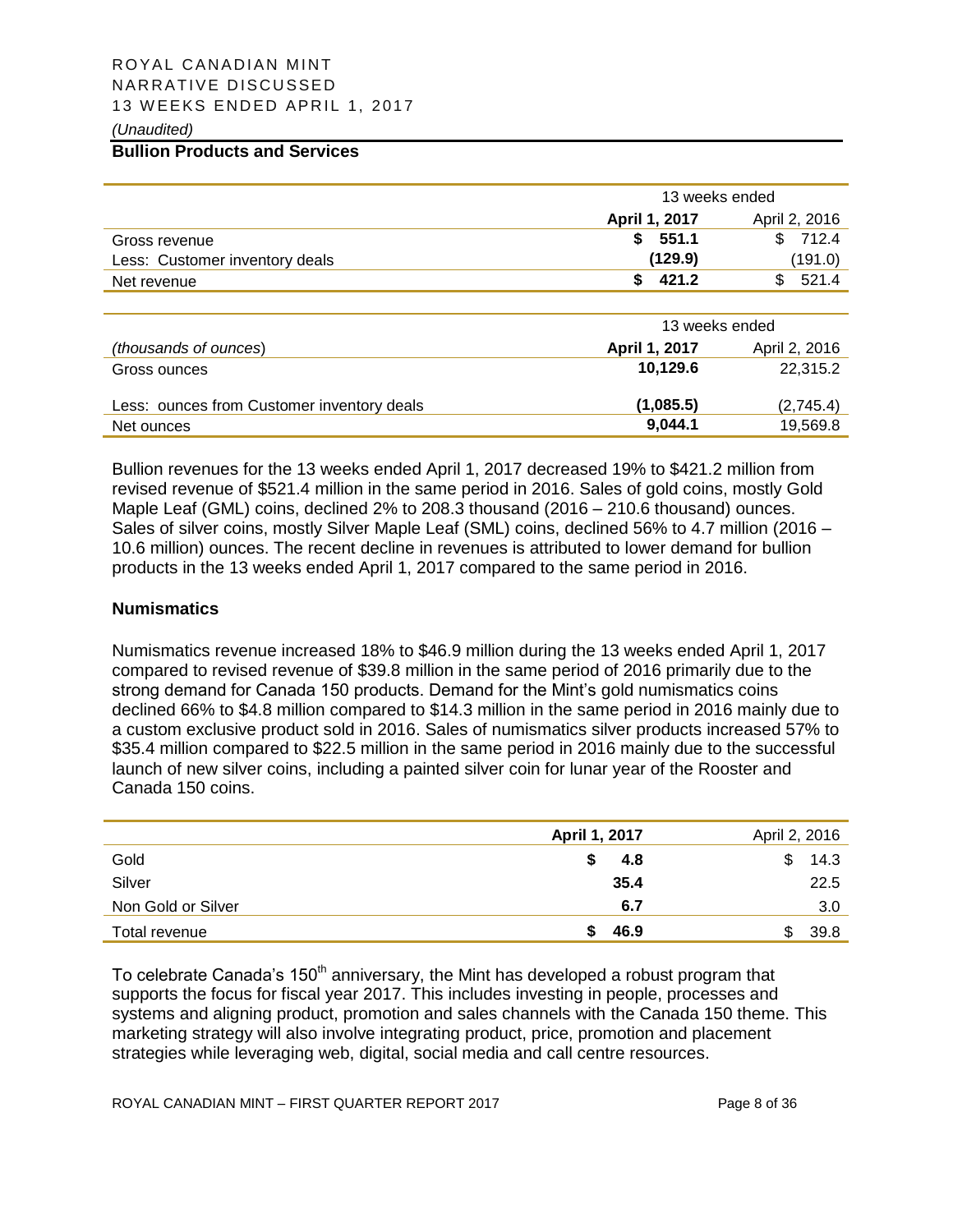# ROYAL CANADIAN MINT NARRATIVE DISCUSSED 13 WEEKS ENDED APRIL 1, 2017

#### *(Unaudited)*

#### **Bullion Products and Services**

|                                | 13 weeks ended                  |               |  |
|--------------------------------|---------------------------------|---------------|--|
|                                | April 1, 2017                   | April 2, 2016 |  |
| Gross revenue                  | \$551.1                         | \$712.4       |  |
| Less: Customer inventory deals | (129.9)                         | (191.0)       |  |
| Net revenue                    | 421.2                           | 521.4         |  |
|                                |                                 |               |  |
|                                | $\mathbf{A} \bullet \mathbf{A}$ |               |  |

|                                            | 13 weeks ended |               |
|--------------------------------------------|----------------|---------------|
| (thousands of ounces)                      | April 1, 2017  | April 2, 2016 |
| Gross ounces                               | 10.129.6       | 22.315.2      |
| Less: ounces from Customer inventory deals | (1,085.5)      | (2,745.4)     |
| Net ounces                                 | 9.044.1        | 19,569.8      |

Bullion revenues for the 13 weeks ended April 1, 2017 decreased 19% to \$421.2 million from revised revenue of \$521.4 million in the same period in 2016. Sales of gold coins, mostly Gold Maple Leaf (GML) coins, declined 2% to 208.3 thousand (2016 – 210.6 thousand) ounces. Sales of silver coins, mostly Silver Maple Leaf (SML) coins, declined 56% to 4.7 million (2016 – 10.6 million) ounces. The recent decline in revenues is attributed to lower demand for bullion products in the 13 weeks ended April 1, 2017 compared to the same period in 2016.

#### **Numismatics**

Numismatics revenue increased 18% to \$46.9 million during the 13 weeks ended April 1, 2017 compared to revised revenue of \$39.8 million in the same period of 2016 primarily due to the strong demand for Canada 150 products. Demand for the Mint's gold numismatics coins declined 66% to \$4.8 million compared to \$14.3 million in the same period in 2016 mainly due to a custom exclusive product sold in 2016. Sales of numismatics silver products increased 57% to \$35.4 million compared to \$22.5 million in the same period in 2016 mainly due to the successful launch of new silver coins, including a painted silver coin for lunar year of the Rooster and Canada 150 coins.

|                    | April 1, 2017 | April 2, 2016 |
|--------------------|---------------|---------------|
| Gold               | 4.8           | 14.3          |
| Silver             | 35.4          | 22.5          |
| Non Gold or Silver | 6.7           | 3.0           |
| Total revenue      | 46.9          | 39.8          |

To celebrate Canada's  $150<sup>th</sup>$  anniversary, the Mint has developed a robust program that supports the focus for fiscal year 2017. This includes investing in people, processes and systems and aligning product, promotion and sales channels with the Canada 150 theme. This marketing strategy will also involve integrating product, price, promotion and placement strategies while leveraging web, digital, social media and call centre resources.

ROYAL CANADIAN MINT – FIRST QUARTER REPORT 2017 Page 8 of 36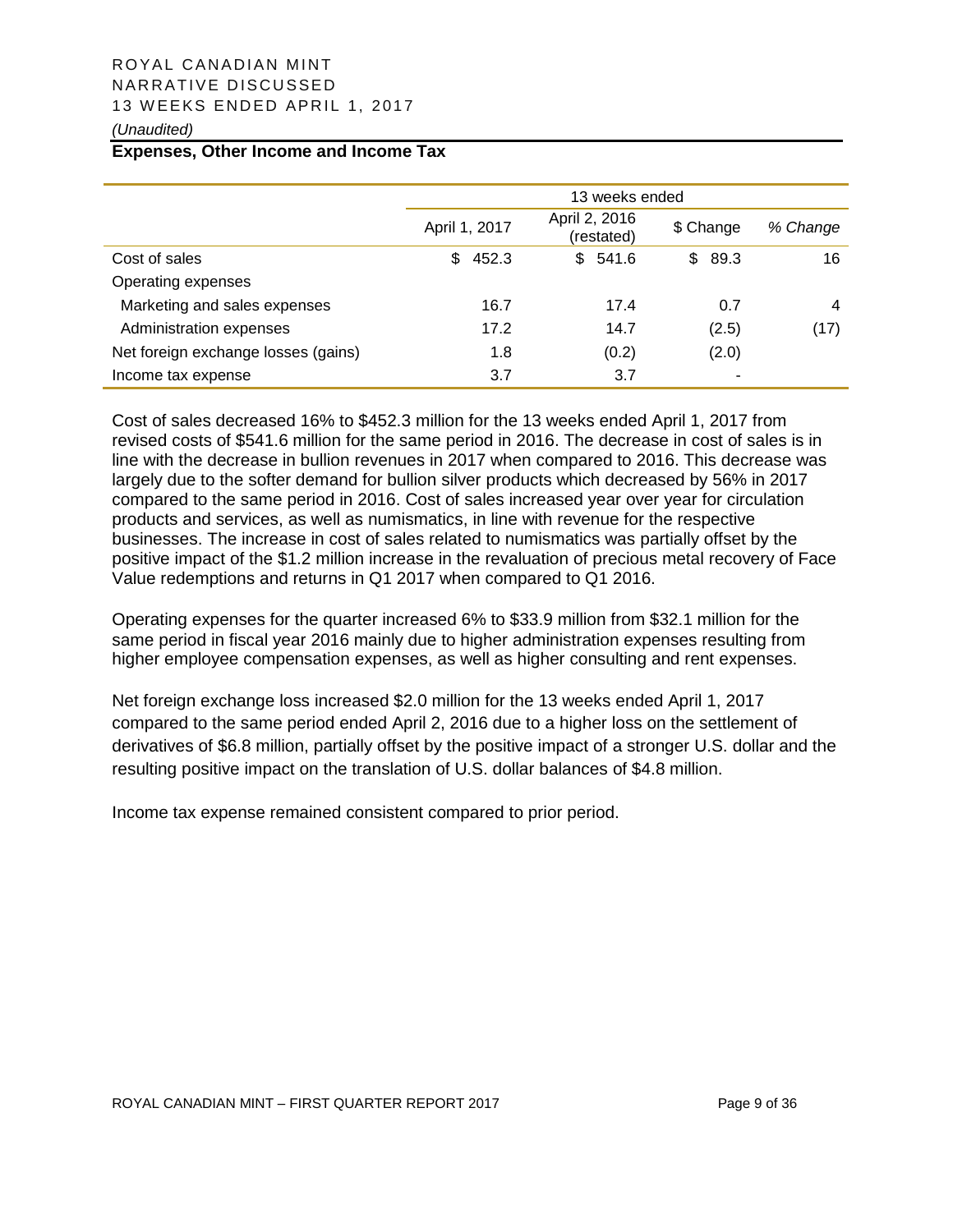# ROYAL CANADIAN MINT NARRATIVE DISCUSSED 13 WEEKS ENDED APRIL 1, 2017

#### *(Unaudited)*

#### **Expenses, Other Income and Income Tax**

|                                     | 13 weeks ended |                             |             |          |  |
|-------------------------------------|----------------|-----------------------------|-------------|----------|--|
|                                     | April 1, 2017  | April 2, 2016<br>(restated) | \$ Change   | % Change |  |
| Cost of sales                       | 452.3<br>\$.   | \$541.6                     | 89.3<br>SS. | 16       |  |
| Operating expenses                  |                |                             |             |          |  |
| Marketing and sales expenses        | 16.7           | 17.4                        | 0.7         | 4        |  |
| Administration expenses             | 17.2           | 14.7                        | (2.5)       | (17)     |  |
| Net foreign exchange losses (gains) | 1.8            | (0.2)                       | (2.0)       |          |  |
| Income tax expense                  | 3.7            | 3.7                         | ٠           |          |  |

Cost of sales decreased 16% to \$452.3 million for the 13 weeks ended April 1, 2017 from revised costs of \$541.6 million for the same period in 2016. The decrease in cost of sales is in line with the decrease in bullion revenues in 2017 when compared to 2016. This decrease was largely due to the softer demand for bullion silver products which decreased by 56% in 2017 compared to the same period in 2016. Cost of sales increased year over year for circulation products and services, as well as numismatics, in line with revenue for the respective businesses. The increase in cost of sales related to numismatics was partially offset by the positive impact of the \$1.2 million increase in the revaluation of precious metal recovery of Face Value redemptions and returns in Q1 2017 when compared to Q1 2016.

Operating expenses for the quarter increased 6% to \$33.9 million from \$32.1 million for the same period in fiscal year 2016 mainly due to higher administration expenses resulting from higher employee compensation expenses, as well as higher consulting and rent expenses.

Net foreign exchange loss increased \$2.0 million for the 13 weeks ended April 1, 2017 compared to the same period ended April 2, 2016 due to a higher loss on the settlement of derivatives of \$6.8 million, partially offset by the positive impact of a stronger U.S. dollar and the resulting positive impact on the translation of U.S. dollar balances of \$4.8 million.

Income tax expense remained consistent compared to prior period.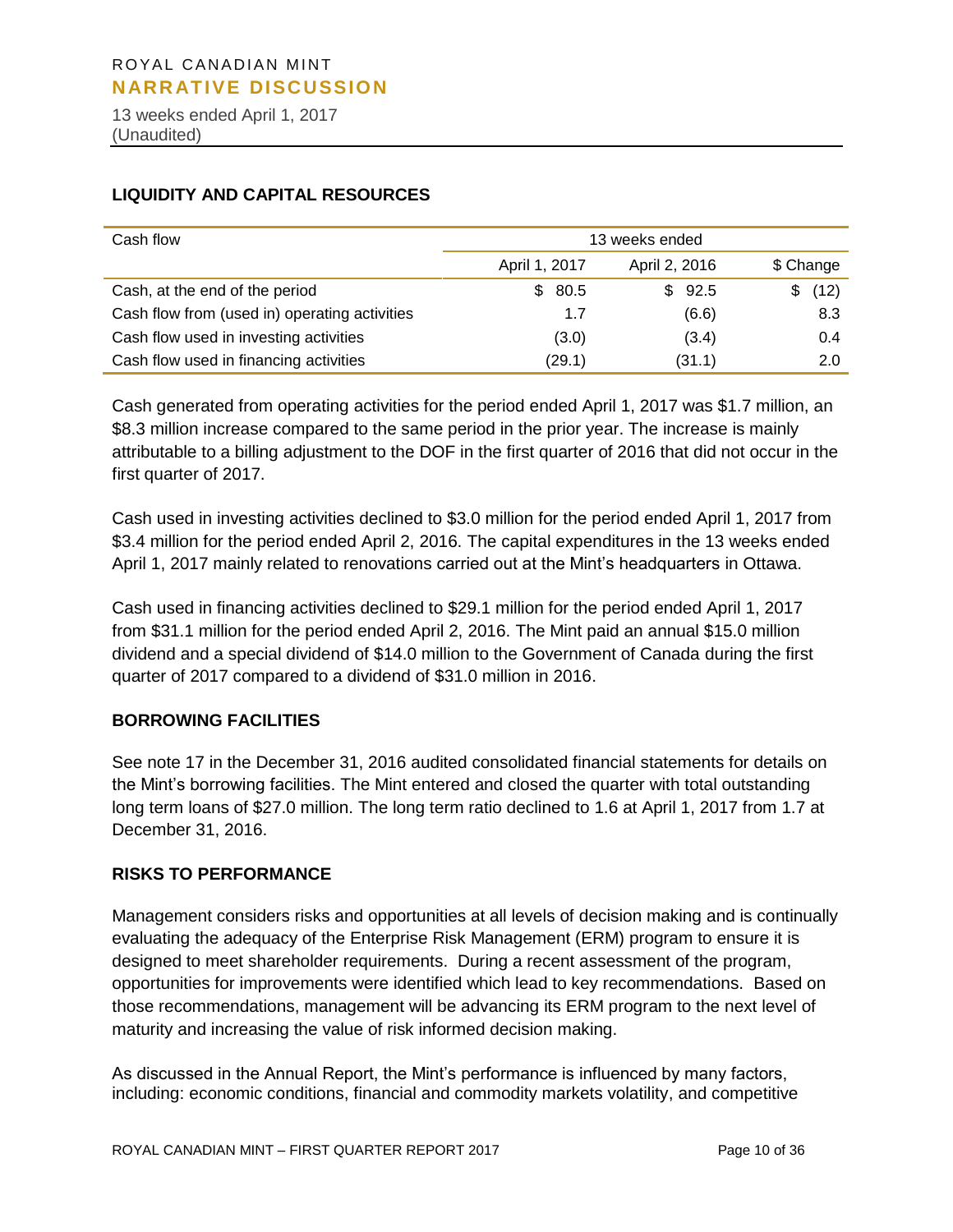13 weeks ended April 1, 2017 (Unaudited)

#### **LIQUIDITY AND CAPITAL RESOURCES**

| Cash flow                                     | 13 weeks ended |               |           |  |  |
|-----------------------------------------------|----------------|---------------|-----------|--|--|
|                                               | April 1, 2017  | April 2, 2016 | \$ Change |  |  |
| Cash, at the end of the period                | 80.5<br>S.     | \$92.5        | (12)<br>S |  |  |
| Cash flow from (used in) operating activities | 1.7            | (6.6)         | 8.3       |  |  |
| Cash flow used in investing activities        | (3.0)          | (3.4)         | 0.4       |  |  |
| Cash flow used in financing activities        | (29.1)         | (31.1)        | 2.0       |  |  |

Cash generated from operating activities for the period ended April 1, 2017 was \$1.7 million, an \$8.3 million increase compared to the same period in the prior year. The increase is mainly attributable to a billing adjustment to the DOF in the first quarter of 2016 that did not occur in the first quarter of 2017.

Cash used in investing activities declined to \$3.0 million for the period ended April 1, 2017 from \$3.4 million for the period ended April 2, 2016. The capital expenditures in the 13 weeks ended April 1, 2017 mainly related to renovations carried out at the Mint's headquarters in Ottawa.

Cash used in financing activities declined to \$29.1 million for the period ended April 1, 2017 from \$31.1 million for the period ended April 2, 2016. The Mint paid an annual \$15.0 million dividend and a special dividend of \$14.0 million to the Government of Canada during the first quarter of 2017 compared to a dividend of \$31.0 million in 2016.

#### **BORROWING FACILITIES**

See note 17 in the December 31, 2016 audited consolidated financial statements for details on the Mint's borrowing facilities. The Mint entered and closed the quarter with total outstanding long term loans of \$27.0 million. The long term ratio declined to 1.6 at April 1, 2017 from 1.7 at December 31, 2016.

#### **RISKS TO PERFORMANCE**

Management considers risks and opportunities at all levels of decision making and is continually evaluating the adequacy of the Enterprise Risk Management (ERM) program to ensure it is designed to meet shareholder requirements. During a recent assessment of the program, opportunities for improvements were identified which lead to key recommendations. Based on those recommendations, management will be advancing its ERM program to the next level of maturity and increasing the value of risk informed decision making.

As discussed in the Annual Report, the Mint's performance is influenced by many factors, including: economic conditions, financial and commodity markets volatility, and competitive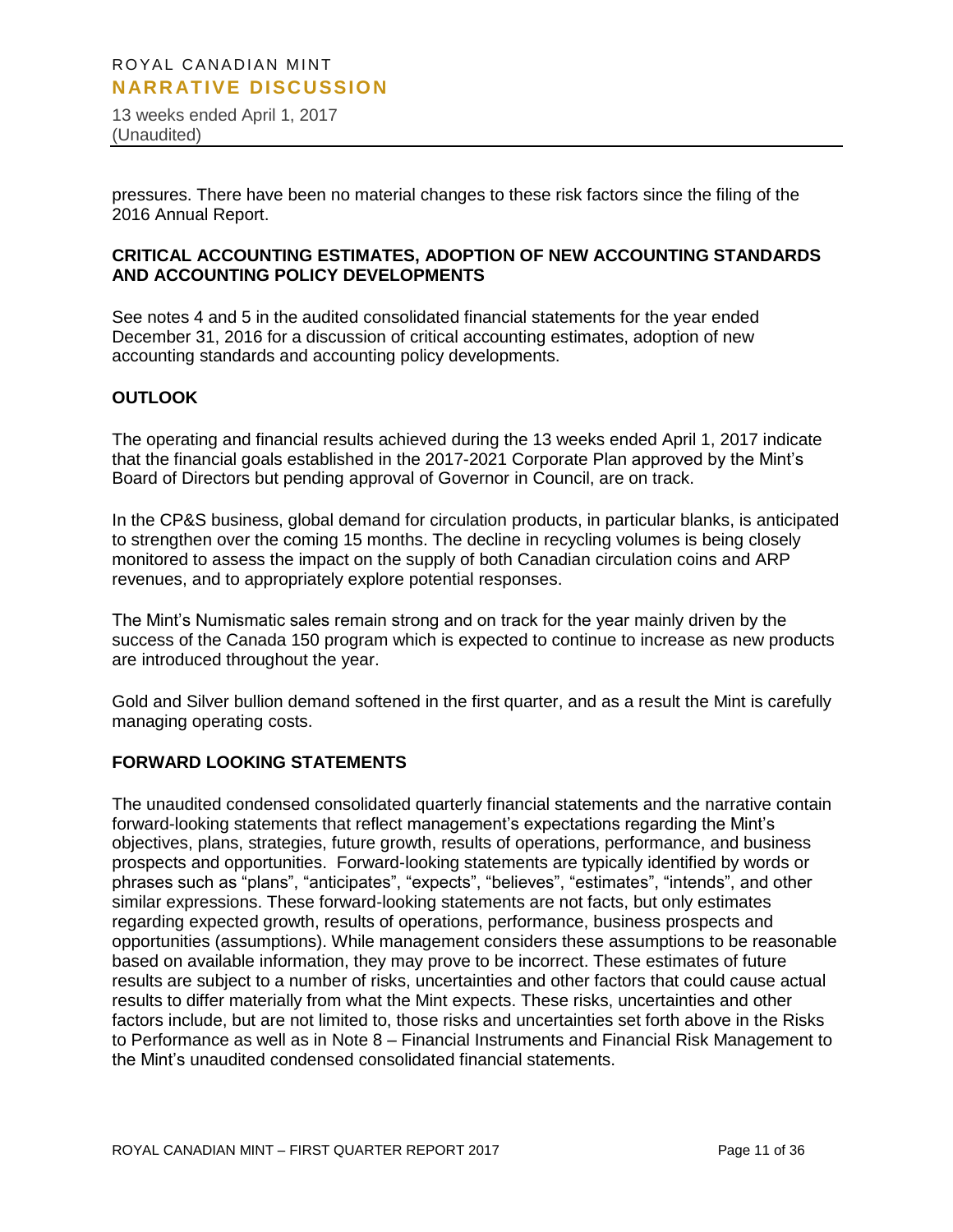13 weeks ended April 1, 2017 (Unaudited)

pressures. There have been no material changes to these risk factors since the filing of the 2016 Annual Report.

#### **CRITICAL ACCOUNTING ESTIMATES, ADOPTION OF NEW ACCOUNTING STANDARDS AND ACCOUNTING POLICY DEVELOPMENTS**

See notes 4 and 5 in the audited consolidated financial statements for the year ended December 31, 2016 for a discussion of critical accounting estimates, adoption of new accounting standards and accounting policy developments.

#### **OUTLOOK**

The operating and financial results achieved during the 13 weeks ended April 1, 2017 indicate that the financial goals established in the 2017-2021 Corporate Plan approved by the Mint's Board of Directors but pending approval of Governor in Council, are on track.

In the CP&S business, global demand for circulation products, in particular blanks, is anticipated to strengthen over the coming 15 months. The decline in recycling volumes is being closely monitored to assess the impact on the supply of both Canadian circulation coins and ARP revenues, and to appropriately explore potential responses.

The Mint's Numismatic sales remain strong and on track for the year mainly driven by the success of the Canada 150 program which is expected to continue to increase as new products are introduced throughout the year.

Gold and Silver bullion demand softened in the first quarter, and as a result the Mint is carefully managing operating costs.

#### **FORWARD LOOKING STATEMENTS**

The unaudited condensed consolidated quarterly financial statements and the narrative contain forward-looking statements that reflect management's expectations regarding the Mint's objectives, plans, strategies, future growth, results of operations, performance, and business prospects and opportunities. Forward-looking statements are typically identified by words or phrases such as "plans", "anticipates", "expects", "believes", "estimates", "intends", and other similar expressions. These forward-looking statements are not facts, but only estimates regarding expected growth, results of operations, performance, business prospects and opportunities (assumptions). While management considers these assumptions to be reasonable based on available information, they may prove to be incorrect. These estimates of future results are subject to a number of risks, uncertainties and other factors that could cause actual results to differ materially from what the Mint expects. These risks, uncertainties and other factors include, but are not limited to, those risks and uncertainties set forth above in the Risks to Performance as well as in Note 8 – Financial Instruments and Financial Risk Management to the Mint's unaudited condensed consolidated financial statements.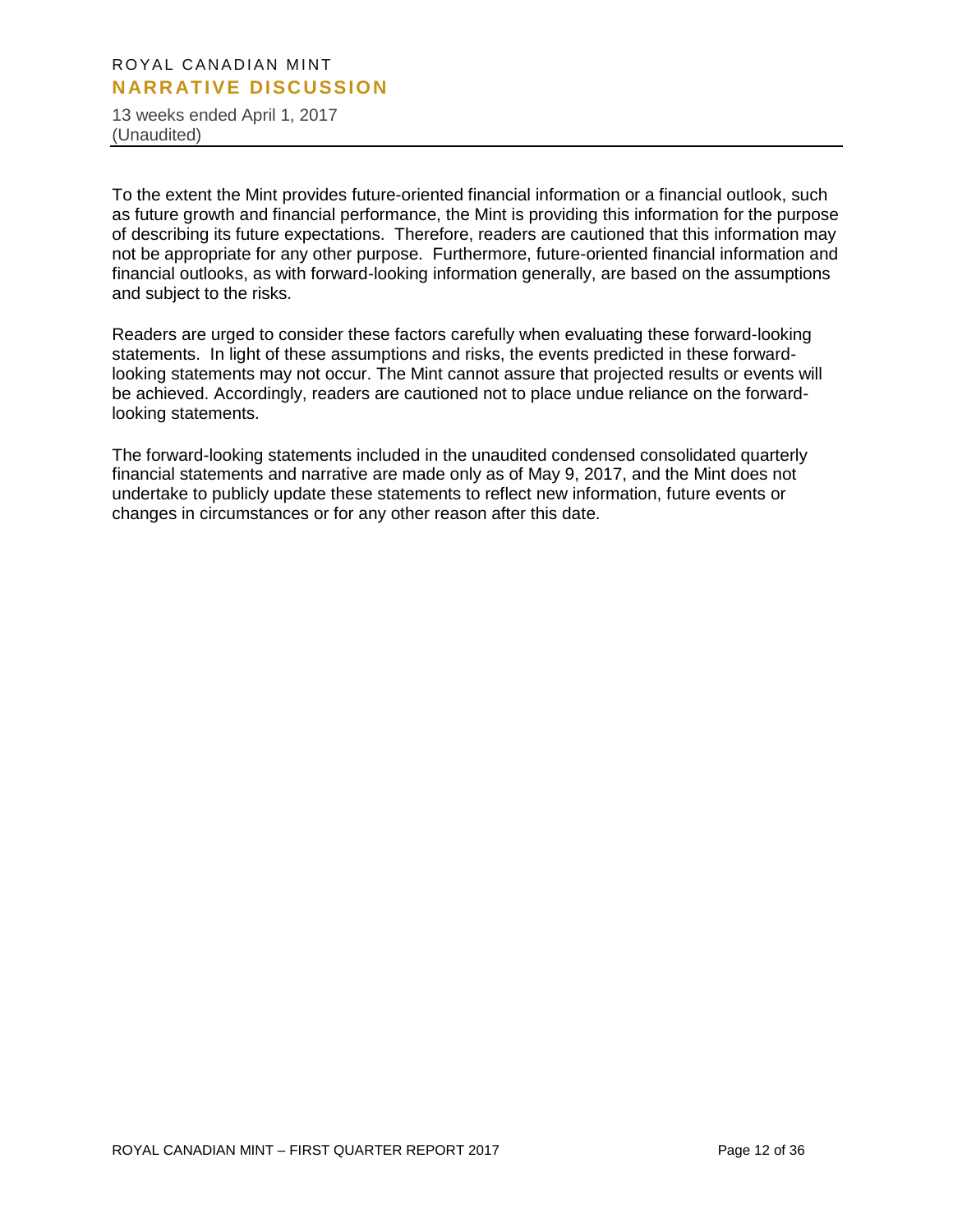13 weeks ended April 1, 2017 (Unaudited)

To the extent the Mint provides future-oriented financial information or a financial outlook, such as future growth and financial performance, the Mint is providing this information for the purpose of describing its future expectations. Therefore, readers are cautioned that this information may not be appropriate for any other purpose. Furthermore, future-oriented financial information and financial outlooks, as with forward-looking information generally, are based on the assumptions and subject to the risks.

Readers are urged to consider these factors carefully when evaluating these forward-looking statements. In light of these assumptions and risks, the events predicted in these forwardlooking statements may not occur. The Mint cannot assure that projected results or events will be achieved. Accordingly, readers are cautioned not to place undue reliance on the forwardlooking statements.

The forward-looking statements included in the unaudited condensed consolidated quarterly financial statements and narrative are made only as of May 9, 2017, and the Mint does not undertake to publicly update these statements to reflect new information, future events or changes in circumstances or for any other reason after this date.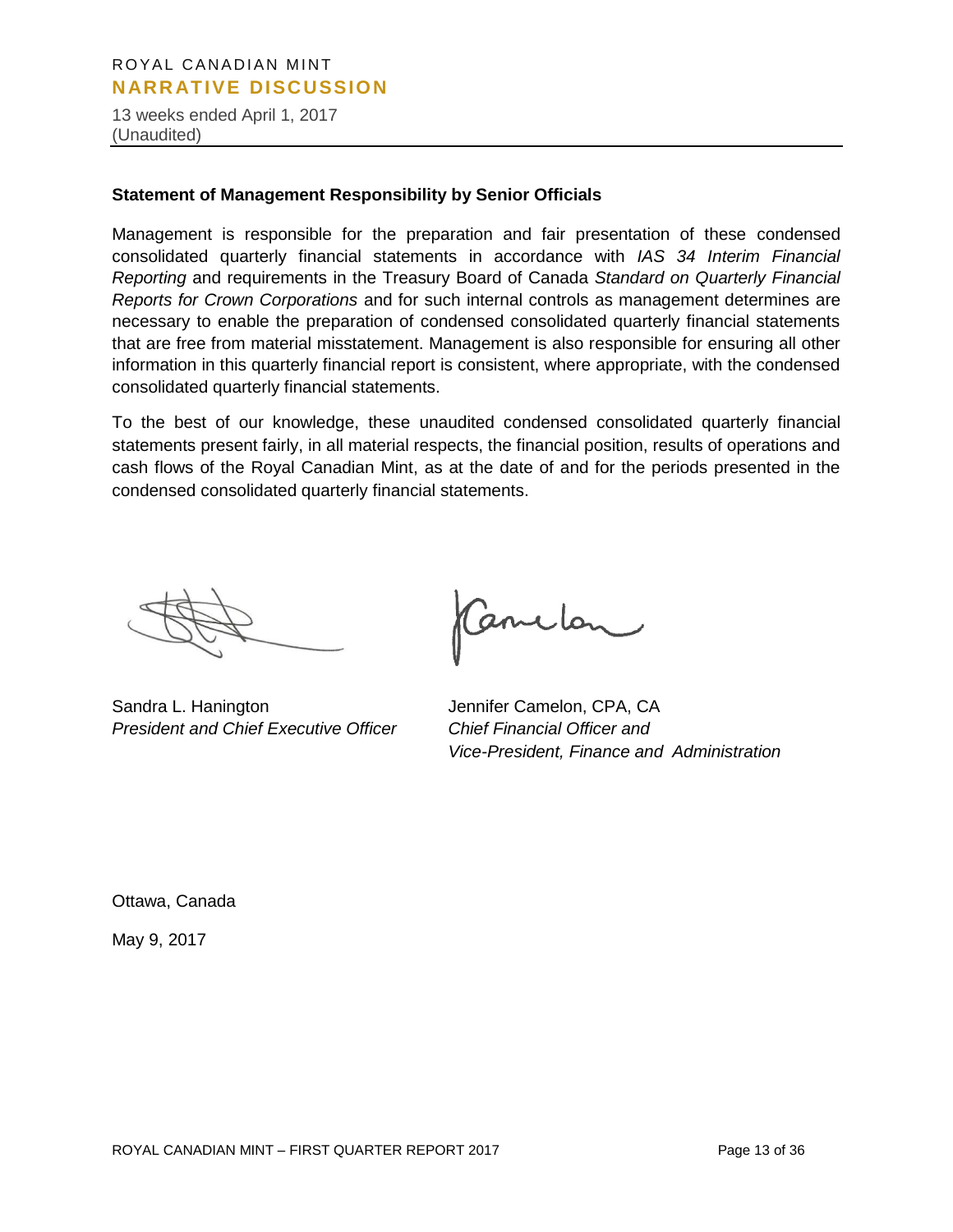13 weeks ended April 1, 2017 (Unaudited)

#### **Statement of Management Responsibility by Senior Officials**

Management is responsible for the preparation and fair presentation of these condensed consolidated quarterly financial statements in accordance with *IAS 34 Interim Financial Reporting* and requirements in the Treasury Board of Canada *Standard on Quarterly Financial Reports for Crown Corporations* and for such internal controls as management determines are necessary to enable the preparation of condensed consolidated quarterly financial statements that are free from material misstatement. Management is also responsible for ensuring all other information in this quarterly financial report is consistent, where appropriate, with the condensed consolidated quarterly financial statements.

To the best of our knowledge, these unaudited condensed consolidated quarterly financial statements present fairly, in all material respects, the financial position, results of operations and cash flows of the Royal Canadian Mint, as at the date of and for the periods presented in the condensed consolidated quarterly financial statements.

Sandra L. Hanington Jennifer Camelon, CPA, CA *President and Chief Executive Officer Chief Financial Officer and* 

anclon

*Vice-President, Finance and Administration*

Ottawa, Canada

May 9, 2017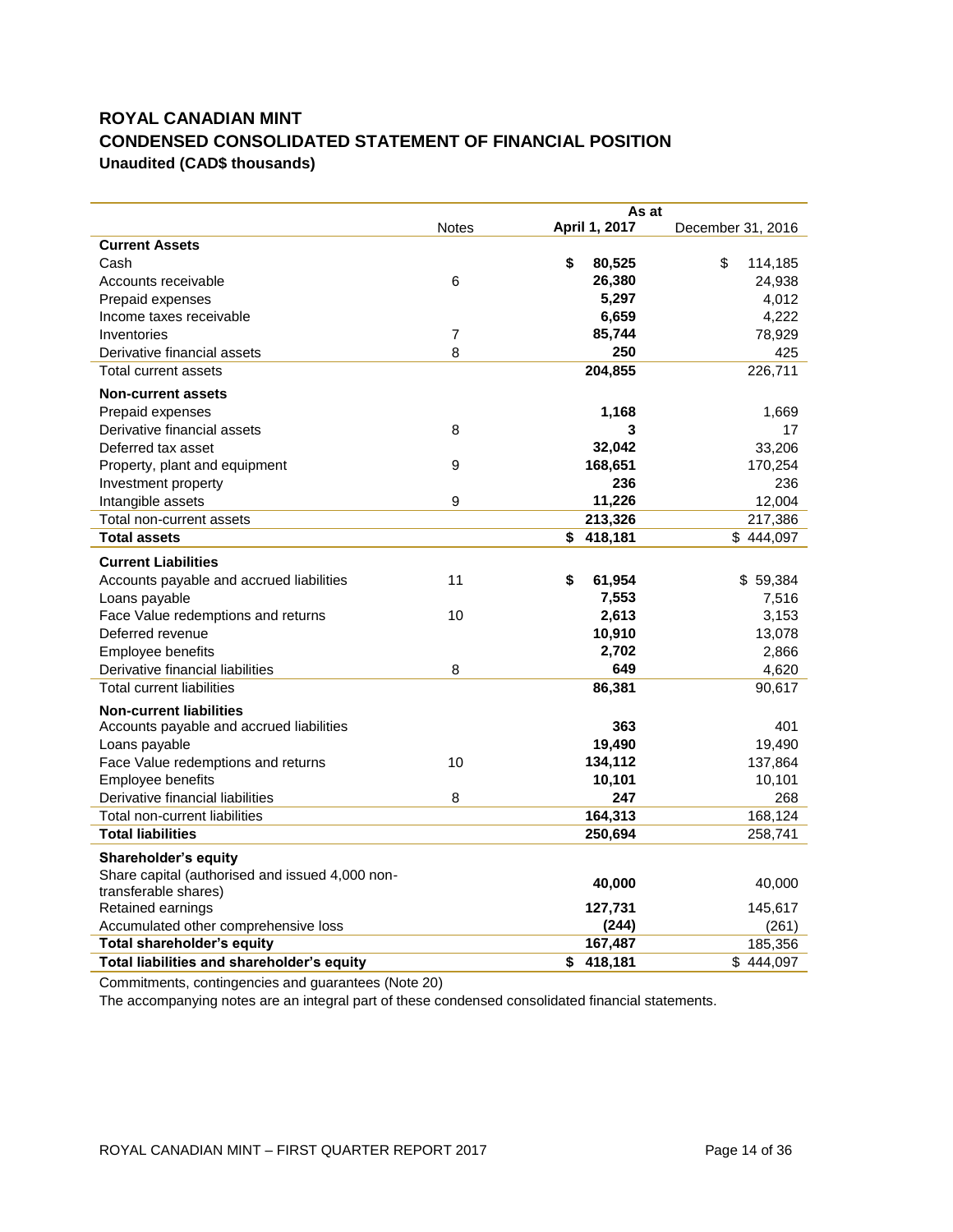# **ROYAL CANADIAN MINT CONDENSED CONSOLIDATED STATEMENT OF FINANCIAL POSITION Unaudited (CAD\$ thousands)**

|                                                 | <b>Notes</b>     | As at<br>April 1, 2017 | December 31, 2016 |
|-------------------------------------------------|------------------|------------------------|-------------------|
| <b>Current Assets</b>                           |                  |                        |                   |
| Cash                                            |                  | \$<br>80,525           | \$<br>114,185     |
| Accounts receivable                             | 6                | 26,380                 | 24,938            |
| Prepaid expenses                                |                  | 5,297                  | 4,012             |
| Income taxes receivable                         |                  | 6,659                  | 4,222             |
| Inventories                                     | $\overline{7}$   | 85,744                 | 78,929            |
| Derivative financial assets                     | 8                | 250                    | 425               |
| Total current assets                            |                  | 204,855                | 226,711           |
| <b>Non-current assets</b>                       |                  |                        |                   |
| Prepaid expenses                                |                  | 1,168                  | 1,669             |
| Derivative financial assets                     | 8                | 3                      | 17                |
| Deferred tax asset                              |                  | 32,042                 | 33,206            |
| Property, plant and equipment                   | $\boldsymbol{9}$ | 168,651                | 170,254           |
| Investment property                             |                  | 236                    | 236               |
| Intangible assets                               | $\boldsymbol{9}$ | 11,226                 | 12,004            |
| Total non-current assets                        |                  | 213,326                | 217,386           |
| <b>Total assets</b>                             |                  | \$<br>418,181          | \$444,097         |
|                                                 |                  |                        |                   |
| <b>Current Liabilities</b>                      |                  |                        |                   |
| Accounts payable and accrued liabilities        | 11               | \$<br>61,954           | \$59,384          |
| Loans payable                                   |                  | 7,553                  | 7,516             |
| Face Value redemptions and returns              | 10               | 2,613                  | 3,153             |
| Deferred revenue                                |                  | 10,910                 | 13,078            |
| Employee benefits                               |                  | 2,702                  | 2,866             |
| Derivative financial liabilities                | 8                | 649                    | 4,620             |
| <b>Total current liabilities</b>                |                  | 86,381                 | 90,617            |
| <b>Non-current liabilities</b>                  |                  |                        |                   |
| Accounts payable and accrued liabilities        |                  | 363                    | 401               |
| Loans payable                                   |                  | 19,490                 | 19,490            |
| Face Value redemptions and returns              | 10               | 134,112                | 137,864           |
| Employee benefits                               |                  | 10,101                 | 10,101            |
| Derivative financial liabilities                | 8                | 247                    | 268               |
| Total non-current liabilities                   |                  | 164,313                | 168,124           |
| <b>Total liabilities</b>                        |                  | 250,694                | 258,741           |
| Shareholder's equity                            |                  |                        |                   |
| Share capital (authorised and issued 4,000 non- |                  | 40,000                 | 40,000            |
| transferable shares)                            |                  |                        |                   |
| Retained earnings                               |                  | 127,731                | 145,617           |
| Accumulated other comprehensive loss            |                  | (244)                  | (261)             |
| <b>Total shareholder's equity</b>               |                  | 167,487                | 185,356           |
| Total liabilities and shareholder's equity      |                  | \$<br>418,181          | \$444,097         |

Commitments, contingencies and guarantees (Note 20)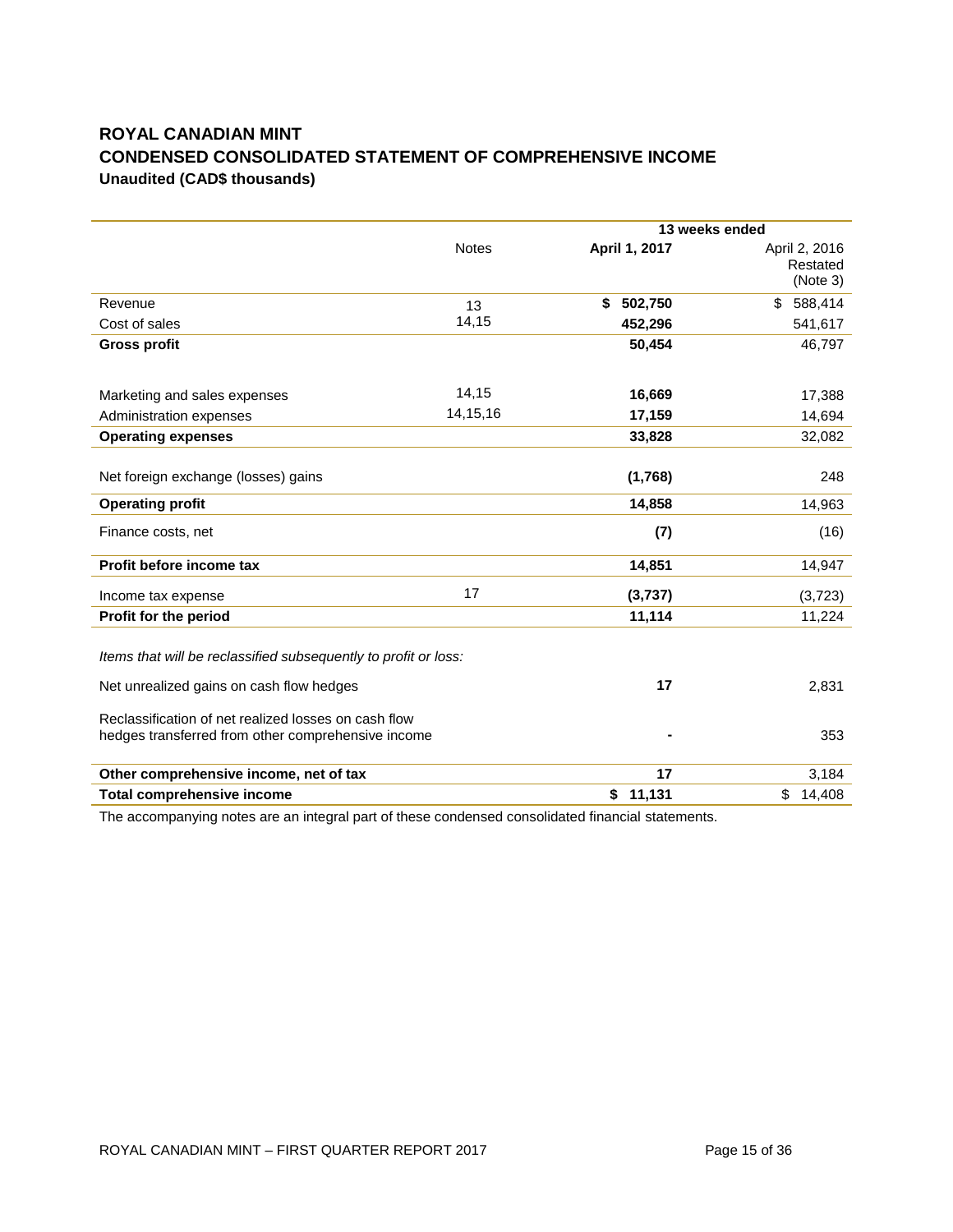# **ROYAL CANADIAN MINT CONDENSED CONSOLIDATED STATEMENT OF COMPREHENSIVE INCOME Unaudited (CAD\$ thousands)**

|                                                                                                            |              | 13 weeks ended |                                       |
|------------------------------------------------------------------------------------------------------------|--------------|----------------|---------------------------------------|
|                                                                                                            | <b>Notes</b> | April 1, 2017  | April 2, 2016<br>Restated<br>(Note 3) |
| Revenue                                                                                                    | 13           | \$<br>502,750  | 588,414<br>\$                         |
| Cost of sales                                                                                              | 14,15        | 452,296        | 541,617                               |
| <b>Gross profit</b>                                                                                        |              | 50,454         | 46,797                                |
|                                                                                                            |              |                |                                       |
| Marketing and sales expenses                                                                               | 14,15        | 16,669         | 17,388                                |
| Administration expenses                                                                                    | 14, 15, 16   | 17,159         | 14,694                                |
| <b>Operating expenses</b>                                                                                  |              | 33,828         | 32,082                                |
|                                                                                                            |              |                |                                       |
| Net foreign exchange (losses) gains                                                                        |              | (1,768)        | 248                                   |
| <b>Operating profit</b>                                                                                    |              | 14,858         | 14,963                                |
| Finance costs, net                                                                                         |              | (7)            | (16)                                  |
| Profit before income tax                                                                                   |              | 14,851         | 14,947                                |
| Income tax expense                                                                                         | 17           | (3,737)        | (3,723)                               |
| Profit for the period                                                                                      |              | 11,114         | 11,224                                |
| Items that will be reclassified subsequently to profit or loss:                                            |              |                |                                       |
| Net unrealized gains on cash flow hedges                                                                   |              | 17             | 2,831                                 |
| Reclassification of net realized losses on cash flow<br>hedges transferred from other comprehensive income |              |                | 353                                   |
| Other comprehensive income, net of tax                                                                     |              | 17             | 3,184                                 |
| <b>Total comprehensive income</b>                                                                          |              | 11,131<br>\$   | \$<br>14,408                          |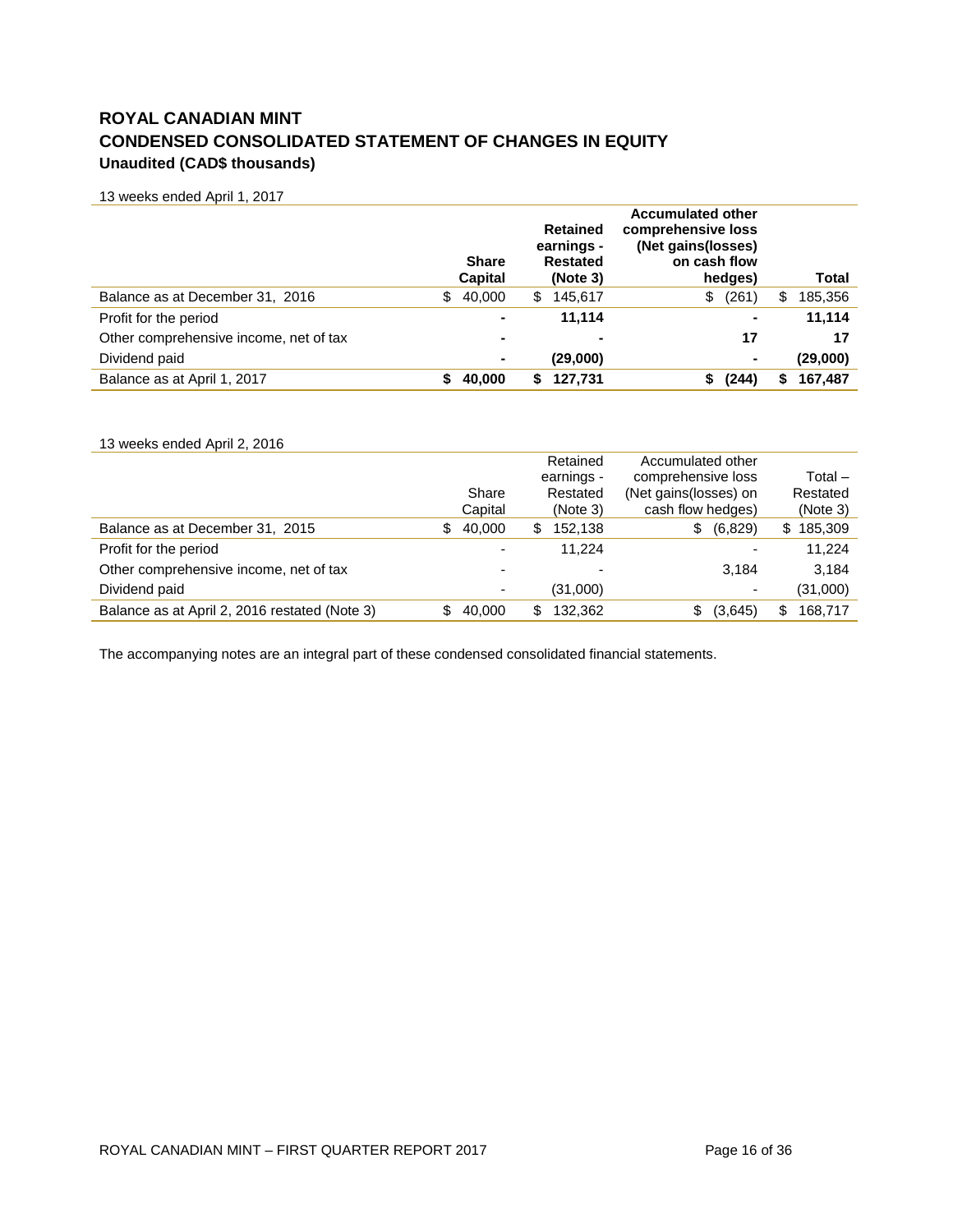# **ROYAL CANADIAN MINT CONDENSED CONSOLIDATED STATEMENT OF CHANGES IN EQUITY Unaudited (CAD\$ thousands)**

13 weeks ended April 1, 2017

|                                        |     | <b>Share</b><br><b>Capital</b> |   | <b>Retained</b><br>earnings -<br><b>Restated</b><br>(Note 3) | <b>Accumulated other</b><br>comprehensive loss<br>(Net gains(losses)<br>on cash flow<br>hedges) |   | Total    |
|----------------------------------------|-----|--------------------------------|---|--------------------------------------------------------------|-------------------------------------------------------------------------------------------------|---|----------|
| Balance as at December 31, 2016        | \$. | 40,000                         | S | 145,617                                                      | (261)<br>\$                                                                                     | S | 185,356  |
| Profit for the period                  |     | ۰                              |   | 11.114                                                       | $\blacksquare$                                                                                  |   | 11,114   |
| Other comprehensive income, net of tax |     | ۰                              |   | $\overline{\phantom{0}}$                                     | 17                                                                                              |   | 17       |
| Dividend paid                          |     | ۰                              |   | (29,000)                                                     | $\blacksquare$                                                                                  |   | (29,000) |
| Balance as at April 1, 2017            |     | 40,000                         |   | 127,731                                                      | (244)                                                                                           | S | 167,487  |

| 13 weeks ended April 2, 2016                  |     |         |   |            |                       |         |               |
|-----------------------------------------------|-----|---------|---|------------|-----------------------|---------|---------------|
|                                               |     |         |   | Retained   | Accumulated other     |         |               |
|                                               |     |         |   | earnings - | comprehensive loss    |         | Total –       |
|                                               |     | Share   |   | Restated   | (Net gains(losses) on |         | Restated      |
|                                               |     | Capital |   | (Note 3)   | cash flow hedges)     |         | (Note 3)      |
| Balance as at December 31, 2015               | SS. | 40.000  | S | 152.138    | S                     | (6,829) | \$185,309     |
| Profit for the period                         |     | ۰       |   | 11.224     |                       |         | 11.224        |
| Other comprehensive income, net of tax        |     |         |   |            |                       | 3.184   | 3.184         |
| Dividend paid                                 |     |         |   | (31,000)   |                       |         | (31,000)      |
| Balance as at April 2, 2016 restated (Note 3) |     | 40.000  | S | 132.362    |                       | (3,645) | \$<br>168.717 |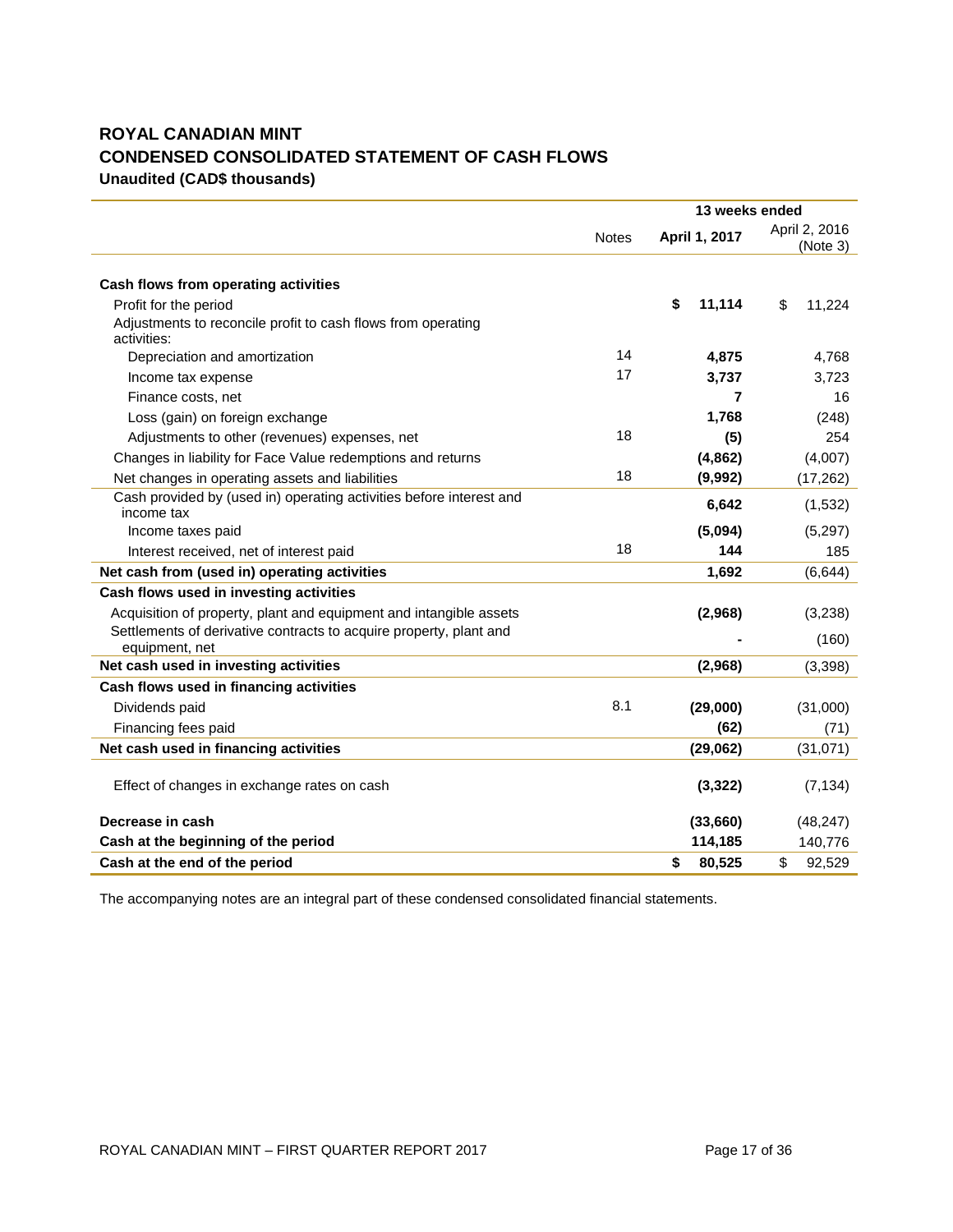# **ROYAL CANADIAN MINT CONDENSED CONSOLIDATED STATEMENT OF CASH FLOWS Unaudited (CAD\$ thousands)**

|                                                                                   |              | 13 weeks ended |                           |  |
|-----------------------------------------------------------------------------------|--------------|----------------|---------------------------|--|
|                                                                                   | <b>Notes</b> | April 1, 2017  | April 2, 2016<br>(Note 3) |  |
|                                                                                   |              |                |                           |  |
| Cash flows from operating activities                                              |              |                |                           |  |
| Profit for the period                                                             |              | \$<br>11,114   | \$<br>11,224              |  |
| Adjustments to reconcile profit to cash flows from operating<br>activities:       |              |                |                           |  |
| Depreciation and amortization                                                     | 14           | 4,875          | 4,768                     |  |
| Income tax expense                                                                | 17           | 3,737          | 3,723                     |  |
| Finance costs, net                                                                |              | 7              | 16                        |  |
| Loss (gain) on foreign exchange                                                   |              | 1,768          | (248)                     |  |
| Adjustments to other (revenues) expenses, net                                     | 18           | (5)            | 254                       |  |
| Changes in liability for Face Value redemptions and returns                       |              | (4,862)        | (4,007)                   |  |
| Net changes in operating assets and liabilities                                   | 18           | (9,992)        | (17, 262)                 |  |
| Cash provided by (used in) operating activities before interest and<br>income tax |              | 6,642          | (1,532)                   |  |
| Income taxes paid                                                                 |              | (5,094)        | (5,297)                   |  |
| Interest received, net of interest paid                                           | 18           | 144            | 185                       |  |
| Net cash from (used in) operating activities                                      |              | 1,692          | (6, 644)                  |  |
| Cash flows used in investing activities                                           |              |                |                           |  |
| Acquisition of property, plant and equipment and intangible assets                |              | (2,968)        | (3,238)                   |  |
| Settlements of derivative contracts to acquire property, plant and                |              |                | (160)                     |  |
| equipment, net                                                                    |              |                |                           |  |
| Net cash used in investing activities                                             |              | (2,968)        | (3, 398)                  |  |
| Cash flows used in financing activities                                           | 8.1          |                |                           |  |
| Dividends paid                                                                    |              | (29,000)       | (31,000)                  |  |
| Financing fees paid                                                               |              | (62)           | (71)                      |  |
| Net cash used in financing activities                                             |              | (29,062)       | (31, 071)                 |  |
| Effect of changes in exchange rates on cash                                       |              | (3, 322)       | (7, 134)                  |  |
| Decrease in cash                                                                  |              | (33,660)       | (48, 247)                 |  |
| Cash at the beginning of the period                                               |              | 114,185        | 140,776                   |  |
| Cash at the end of the period                                                     |              | \$<br>80,525   | \$<br>92,529              |  |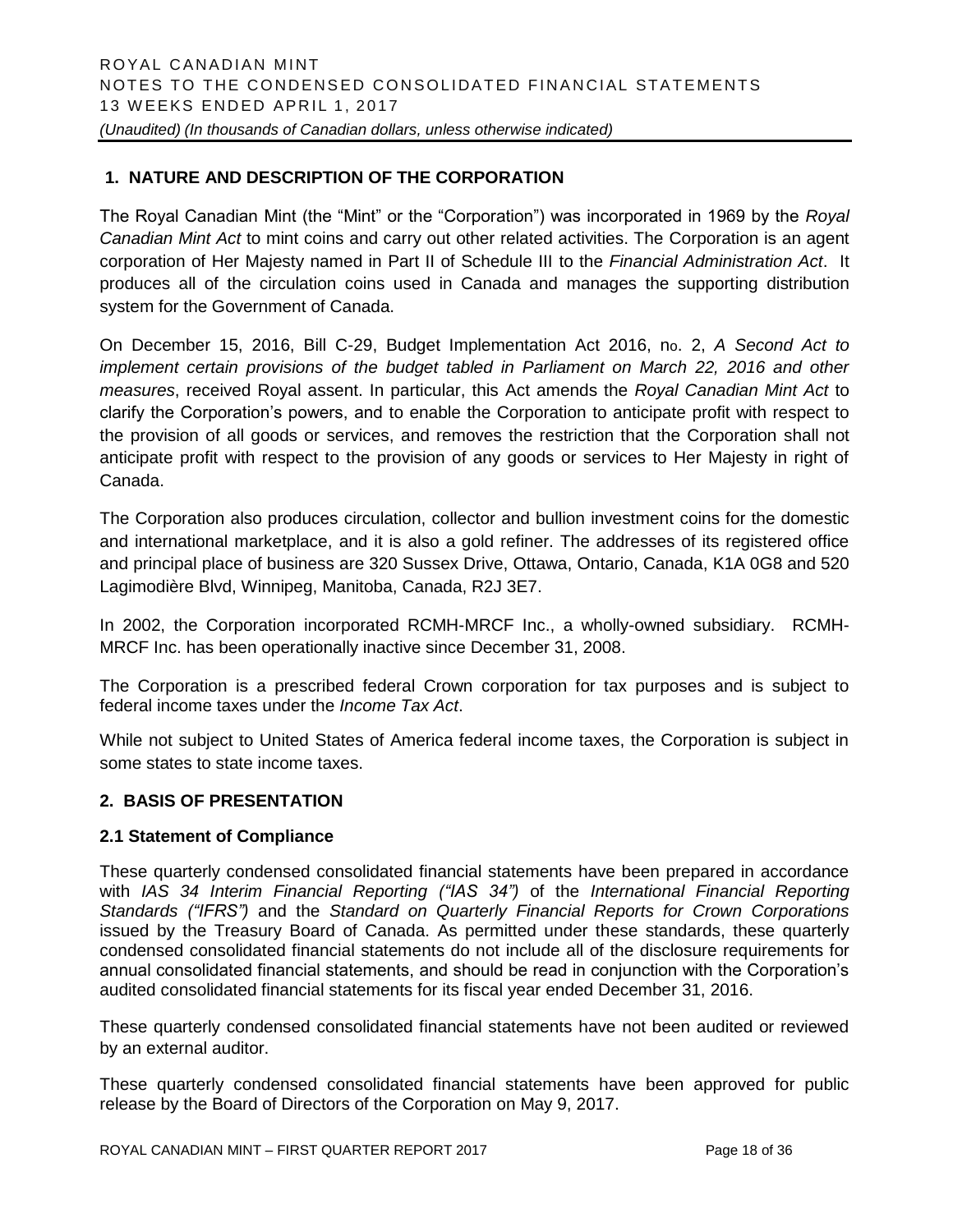# **1. NATURE AND DESCRIPTION OF THE CORPORATION**

The Royal Canadian Mint (the "Mint" or the "Corporation") was incorporated in 1969 by the *Royal Canadian Mint Act* to mint coins and carry out other related activities. The Corporation is an agent corporation of Her Majesty named in Part II of Schedule III to the *Financial Administration Act*. It produces all of the circulation coins used in Canada and manages the supporting distribution system for the Government of Canada.

On December 15, 2016, Bill C-29, Budget Implementation Act 2016, no. 2, *A Second Act to implement certain provisions of the budget tabled in Parliament on March 22, 2016 and other measures*, received Royal assent. In particular, this Act amends the *Royal Canadian Mint Act* to clarify the Corporation's powers, and to enable the Corporation to anticipate profit with respect to the provision of all goods or services, and removes the restriction that the Corporation shall not anticipate profit with respect to the provision of any goods or services to Her Majesty in right of Canada.

The Corporation also produces circulation, collector and bullion investment coins for the domestic and international marketplace, and it is also a gold refiner. The addresses of its registered office and principal place of business are 320 Sussex Drive, Ottawa, Ontario, Canada, K1A 0G8 and 520 Lagimodière Blvd, Winnipeg, Manitoba, Canada, R2J 3E7.

In 2002, the Corporation incorporated RCMH-MRCF Inc., a wholly-owned subsidiary. RCMH-MRCF Inc. has been operationally inactive since December 31, 2008.

The Corporation is a prescribed federal Crown corporation for tax purposes and is subject to federal income taxes under the *Income Tax Act*.

While not subject to United States of America federal income taxes, the Corporation is subject in some states to state income taxes.

#### **2. BASIS OF PRESENTATION**

#### **2.1 Statement of Compliance**

These quarterly condensed consolidated financial statements have been prepared in accordance with *IAS 34 Interim Financial Reporting ("IAS 34")* of the *International Financial Reporting Standards ("IFRS")* and the *Standard on Quarterly Financial Reports for Crown Corporations* issued by the Treasury Board of Canada. As permitted under these standards, these quarterly condensed consolidated financial statements do not include all of the disclosure requirements for annual consolidated financial statements, and should be read in conjunction with the Corporation's audited consolidated financial statements for its fiscal year ended December 31, 2016.

These quarterly condensed consolidated financial statements have not been audited or reviewed by an external auditor.

These quarterly condensed consolidated financial statements have been approved for public release by the Board of Directors of the Corporation on May 9, 2017.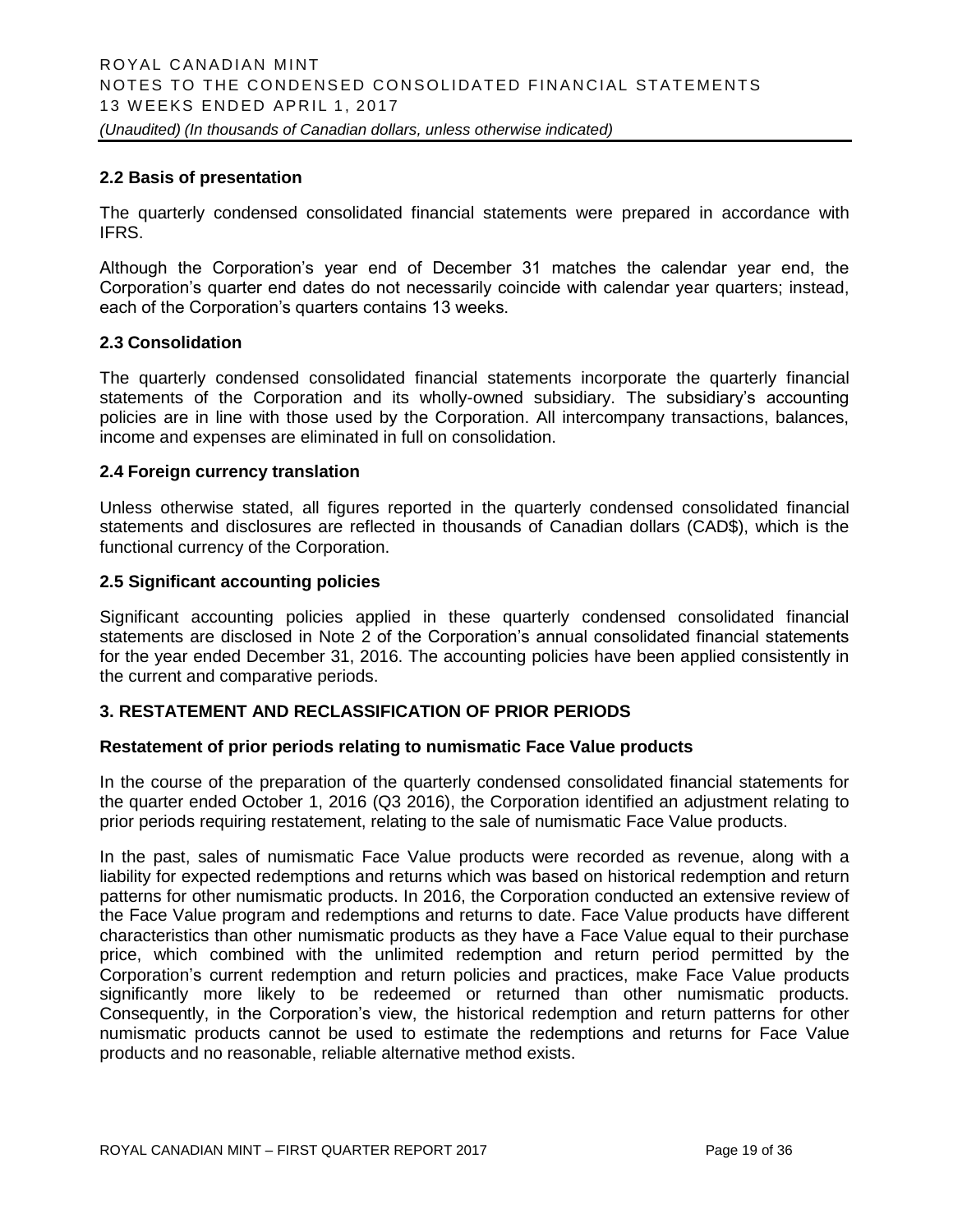#### **2.2 Basis of presentation**

The quarterly condensed consolidated financial statements were prepared in accordance with IFRS.

Although the Corporation's year end of December 31 matches the calendar year end, the Corporation's quarter end dates do not necessarily coincide with calendar year quarters; instead, each of the Corporation's quarters contains 13 weeks.

#### **2.3 Consolidation**

The quarterly condensed consolidated financial statements incorporate the quarterly financial statements of the Corporation and its wholly-owned subsidiary. The subsidiary's accounting policies are in line with those used by the Corporation. All intercompany transactions, balances, income and expenses are eliminated in full on consolidation.

#### **2.4 Foreign currency translation**

Unless otherwise stated, all figures reported in the quarterly condensed consolidated financial statements and disclosures are reflected in thousands of Canadian dollars (CAD\$), which is the functional currency of the Corporation.

#### **2.5 Significant accounting policies**

Significant accounting policies applied in these quarterly condensed consolidated financial statements are disclosed in Note 2 of the Corporation's annual consolidated financial statements for the year ended December 31, 2016. The accounting policies have been applied consistently in the current and comparative periods.

#### **3. RESTATEMENT AND RECLASSIFICATION OF PRIOR PERIODS**

#### **Restatement of prior periods relating to numismatic Face Value products**

In the course of the preparation of the quarterly condensed consolidated financial statements for the quarter ended October 1, 2016 (Q3 2016), the Corporation identified an adjustment relating to prior periods requiring restatement, relating to the sale of numismatic Face Value products.

In the past, sales of numismatic Face Value products were recorded as revenue, along with a liability for expected redemptions and returns which was based on historical redemption and return patterns for other numismatic products. In 2016, the Corporation conducted an extensive review of the Face Value program and redemptions and returns to date. Face Value products have different characteristics than other numismatic products as they have a Face Value equal to their purchase price, which combined with the unlimited redemption and return period permitted by the Corporation's current redemption and return policies and practices, make Face Value products significantly more likely to be redeemed or returned than other numismatic products. Consequently, in the Corporation's view, the historical redemption and return patterns for other numismatic products cannot be used to estimate the redemptions and returns for Face Value products and no reasonable, reliable alternative method exists.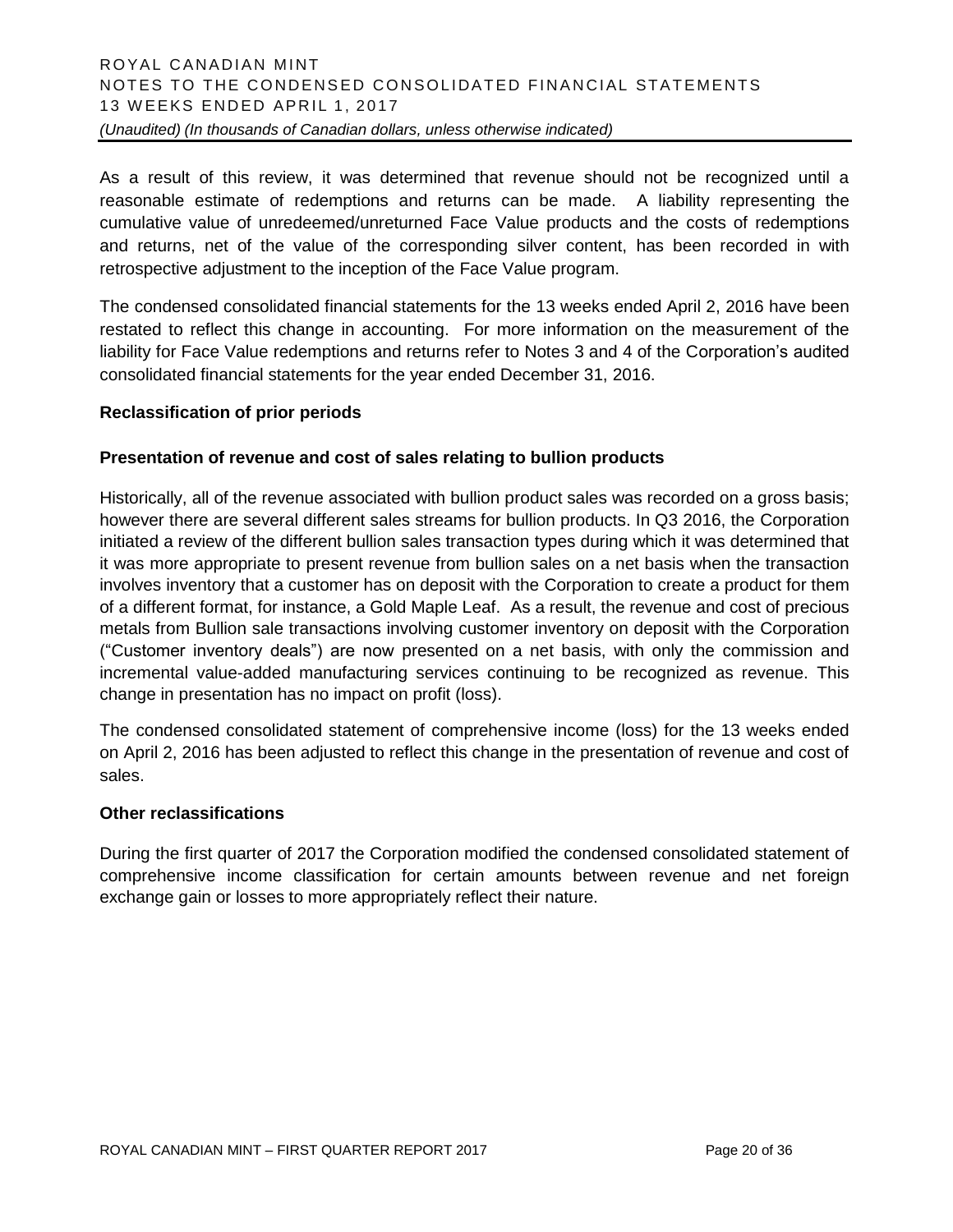As a result of this review, it was determined that revenue should not be recognized until a reasonable estimate of redemptions and returns can be made. A liability representing the cumulative value of unredeemed/unreturned Face Value products and the costs of redemptions and returns, net of the value of the corresponding silver content, has been recorded in with retrospective adjustment to the inception of the Face Value program.

The condensed consolidated financial statements for the 13 weeks ended April 2, 2016 have been restated to reflect this change in accounting. For more information on the measurement of the liability for Face Value redemptions and returns refer to Notes 3 and 4 of the Corporation's audited consolidated financial statements for the year ended December 31, 2016.

#### **Reclassification of prior periods**

#### **Presentation of revenue and cost of sales relating to bullion products**

Historically, all of the revenue associated with bullion product sales was recorded on a gross basis; however there are several different sales streams for bullion products. In Q3 2016, the Corporation initiated a review of the different bullion sales transaction types during which it was determined that it was more appropriate to present revenue from bullion sales on a net basis when the transaction involves inventory that a customer has on deposit with the Corporation to create a product for them of a different format, for instance, a Gold Maple Leaf. As a result, the revenue and cost of precious metals from Bullion sale transactions involving customer inventory on deposit with the Corporation ("Customer inventory deals") are now presented on a net basis, with only the commission and incremental value-added manufacturing services continuing to be recognized as revenue. This change in presentation has no impact on profit (loss).

The condensed consolidated statement of comprehensive income (loss) for the 13 weeks ended on April 2, 2016 has been adjusted to reflect this change in the presentation of revenue and cost of sales.

#### **Other reclassifications**

During the first quarter of 2017 the Corporation modified the condensed consolidated statement of comprehensive income classification for certain amounts between revenue and net foreign exchange gain or losses to more appropriately reflect their nature.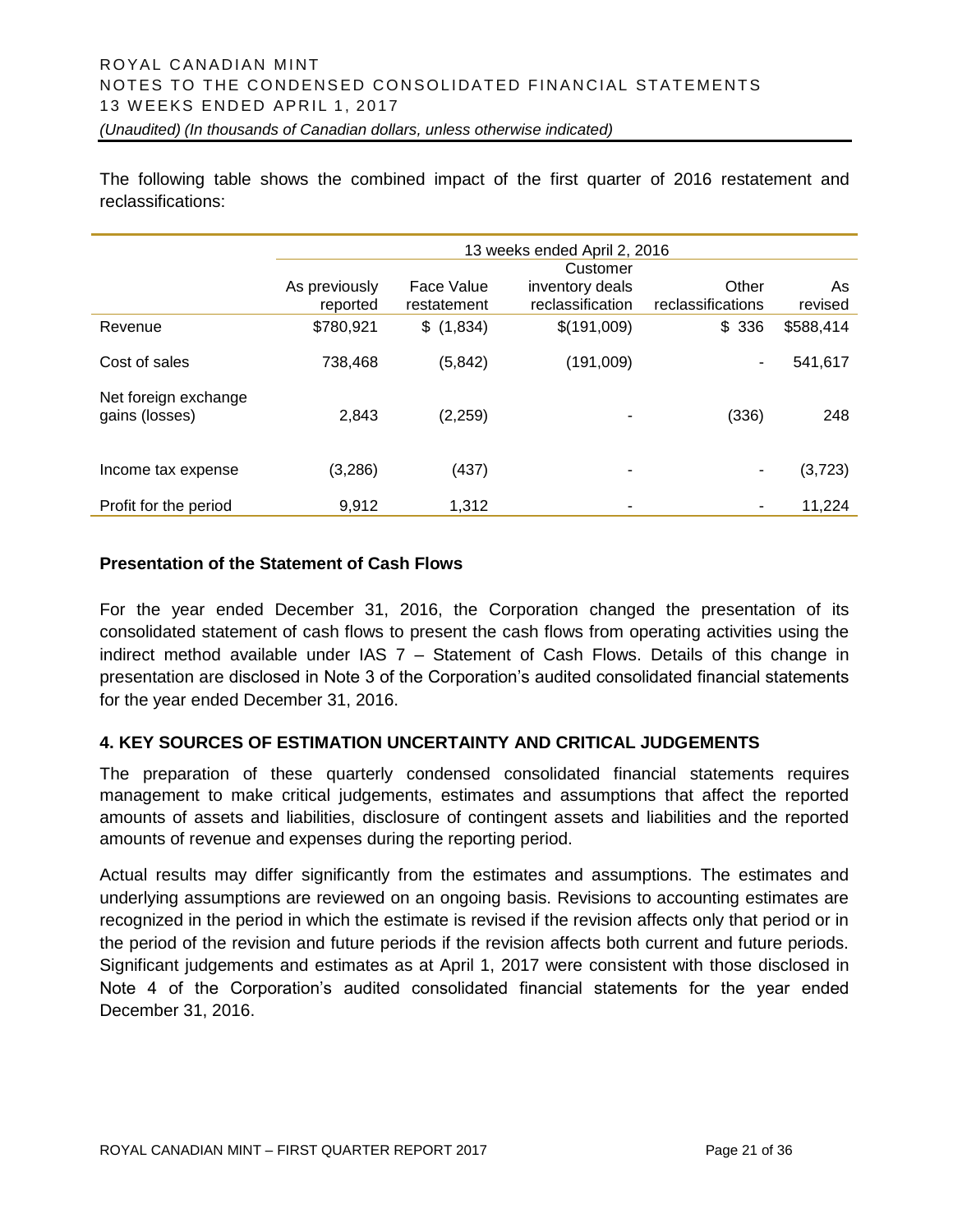The following table shows the combined impact of the first quarter of 2016 restatement and reclassifications:

|                                        | 13 weeks ended April 2, 2016 |                           |                                     |                            |               |
|----------------------------------------|------------------------------|---------------------------|-------------------------------------|----------------------------|---------------|
|                                        |                              |                           | Customer                            |                            |               |
|                                        | As previously<br>reported    | Face Value<br>restatement | inventory deals<br>reclassification | Other<br>reclassifications | As<br>revised |
| Revenue                                | \$780,921                    | \$(1,834)                 | \$(191,009)                         | \$336                      | \$588,414     |
| Cost of sales                          | 738,468                      | (5, 842)                  | (191,009)                           | -                          | 541,617       |
| Net foreign exchange<br>gains (losses) | 2,843                        | (2,259)                   | ۰                                   | (336)                      | 248           |
| Income tax expense                     | (3,286)                      | (437)                     | ۰                                   | -                          | (3,723)       |
| Profit for the period                  | 9,912                        | 1,312                     | ۰                                   | $\overline{\phantom{a}}$   | 11,224        |

# **Presentation of the Statement of Cash Flows**

For the year ended December 31, 2016, the Corporation changed the presentation of its consolidated statement of cash flows to present the cash flows from operating activities using the indirect method available under IAS 7 – Statement of Cash Flows. Details of this change in presentation are disclosed in Note 3 of the Corporation's audited consolidated financial statements for the year ended December 31, 2016.

#### **4. KEY SOURCES OF ESTIMATION UNCERTAINTY AND CRITICAL JUDGEMENTS**

The preparation of these quarterly condensed consolidated financial statements requires management to make critical judgements, estimates and assumptions that affect the reported amounts of assets and liabilities, disclosure of contingent assets and liabilities and the reported amounts of revenue and expenses during the reporting period.

Actual results may differ significantly from the estimates and assumptions. The estimates and underlying assumptions are reviewed on an ongoing basis. Revisions to accounting estimates are recognized in the period in which the estimate is revised if the revision affects only that period or in the period of the revision and future periods if the revision affects both current and future periods. Significant judgements and estimates as at April 1, 2017 were consistent with those disclosed in Note 4 of the Corporation's audited consolidated financial statements for the year ended December 31, 2016.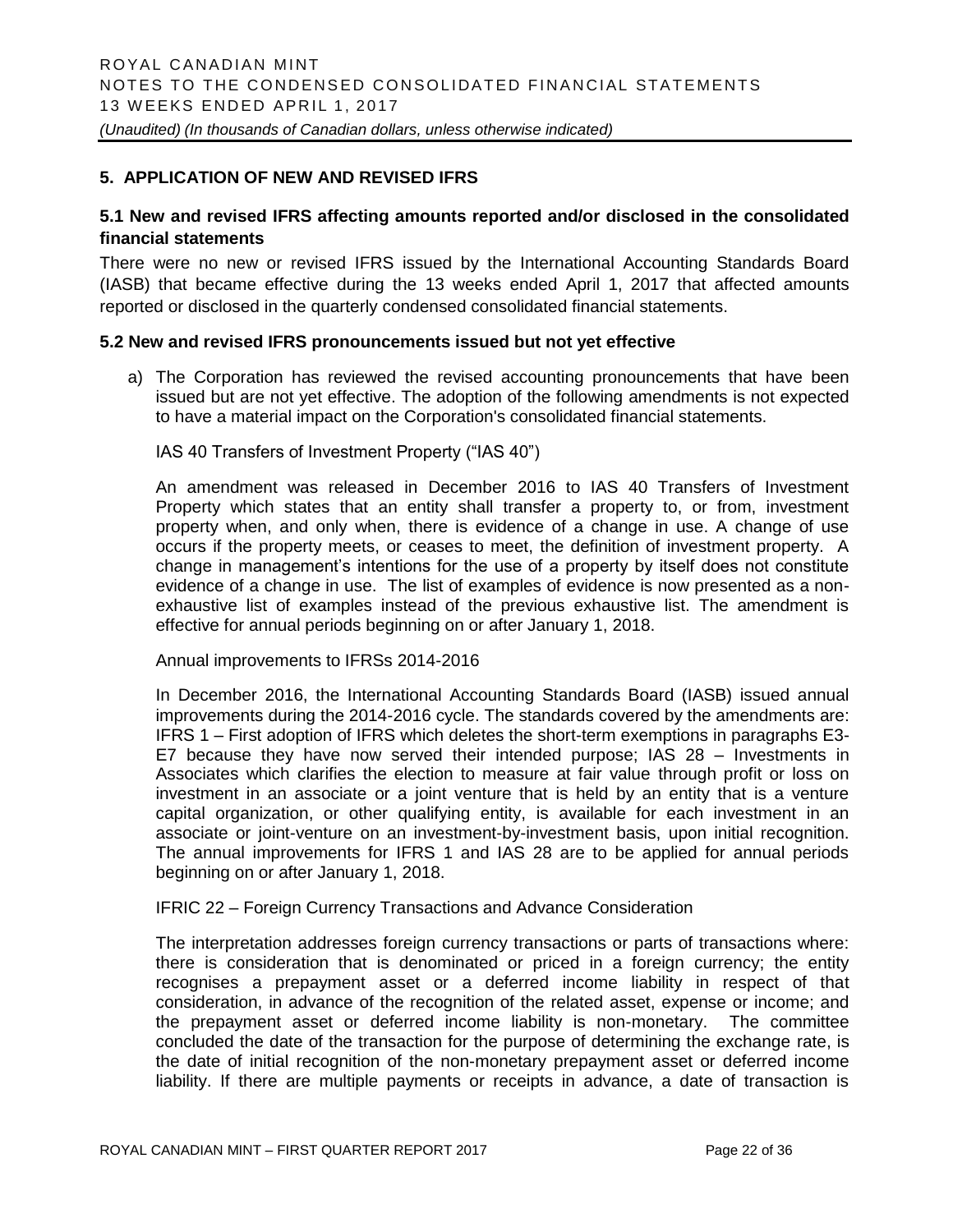#### **5. APPLICATION OF NEW AND REVISED IFRS**

#### **5.1 New and revised IFRS affecting amounts reported and/or disclosed in the consolidated financial statements**

There were no new or revised IFRS issued by the International Accounting Standards Board (IASB) that became effective during the 13 weeks ended April 1, 2017 that affected amounts reported or disclosed in the quarterly condensed consolidated financial statements.

#### **5.2 New and revised IFRS pronouncements issued but not yet effective**

a) The Corporation has reviewed the revised accounting pronouncements that have been issued but are not yet effective. The adoption of the following amendments is not expected to have a material impact on the Corporation's consolidated financial statements.

#### IAS 40 Transfers of Investment Property ("IAS 40")

An amendment was released in December 2016 to IAS 40 Transfers of Investment Property which states that an entity shall transfer a property to, or from, investment property when, and only when, there is evidence of a change in use. A change of use occurs if the property meets, or ceases to meet, the definition of investment property. A change in management's intentions for the use of a property by itself does not constitute evidence of a change in use. The list of examples of evidence is now presented as a nonexhaustive list of examples instead of the previous exhaustive list. The amendment is effective for annual periods beginning on or after January 1, 2018.

Annual improvements to IFRSs 2014-2016

In December 2016, the International Accounting Standards Board (IASB) issued annual improvements during the 2014-2016 cycle. The standards covered by the amendments are: IFRS 1 – First adoption of IFRS which deletes the short-term exemptions in paragraphs E3- E7 because they have now served their intended purpose; IAS 28 – Investments in Associates which clarifies the election to measure at fair value through profit or loss on investment in an associate or a joint venture that is held by an entity that is a venture capital organization, or other qualifying entity, is available for each investment in an associate or joint-venture on an investment-by-investment basis, upon initial recognition. The annual improvements for IFRS 1 and IAS 28 are to be applied for annual periods beginning on or after January 1, 2018.

#### IFRIC 22 – Foreign Currency Transactions and Advance Consideration

The interpretation addresses foreign currency transactions or parts of transactions where: there is consideration that is denominated or priced in a foreign currency; the entity recognises a prepayment asset or a deferred income liability in respect of that consideration, in advance of the recognition of the related asset, expense or income; and the prepayment asset or deferred income liability is non-monetary. The committee concluded the date of the transaction for the purpose of determining the exchange rate, is the date of initial recognition of the non-monetary prepayment asset or deferred income liability. If there are multiple payments or receipts in advance, a date of transaction is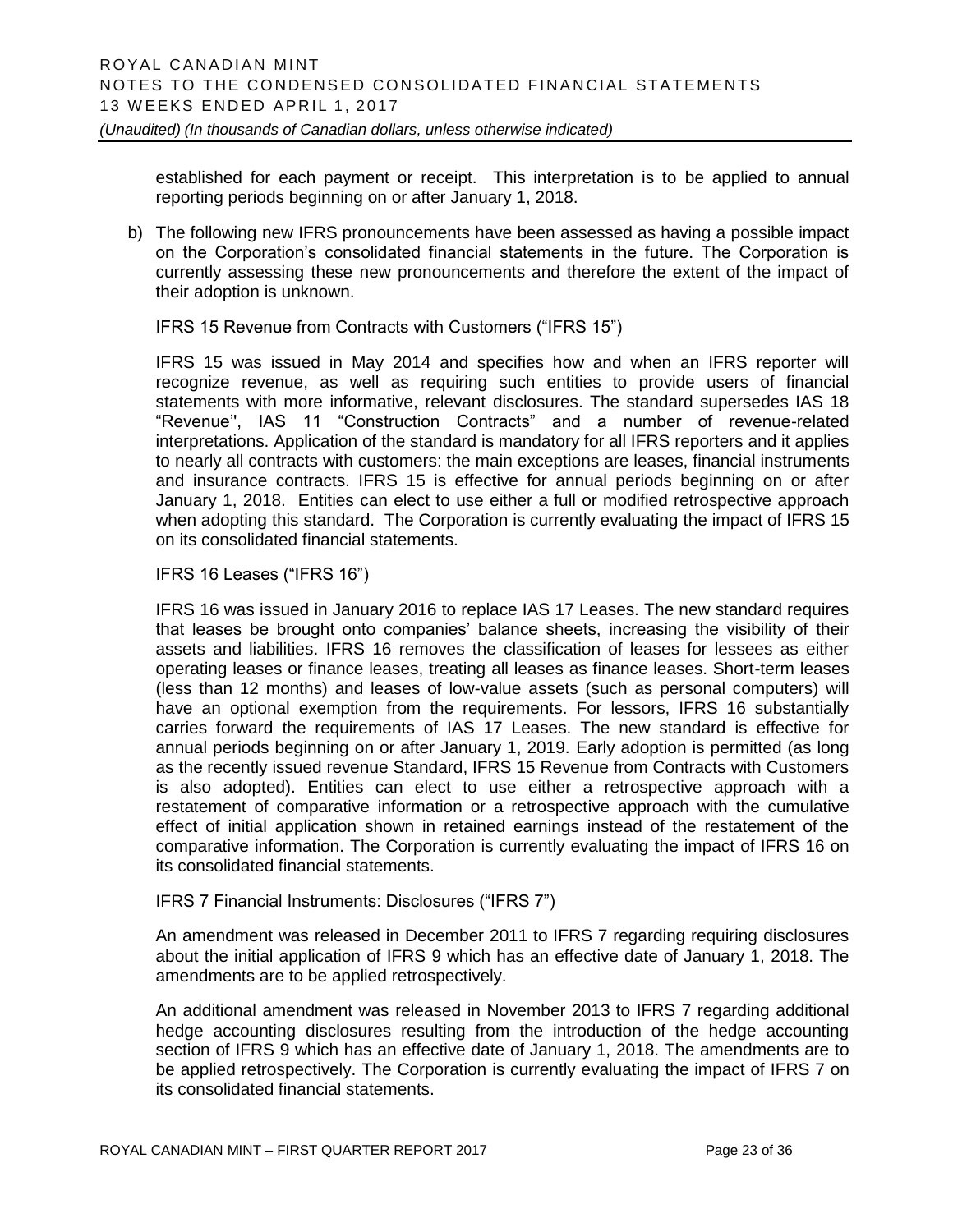established for each payment or receipt. This interpretation is to be applied to annual reporting periods beginning on or after January 1, 2018.

b) The following new IFRS pronouncements have been assessed as having a possible impact on the Corporation's consolidated financial statements in the future. The Corporation is currently assessing these new pronouncements and therefore the extent of the impact of their adoption is unknown.

IFRS 15 Revenue from Contracts with Customers ("IFRS 15")

IFRS 15 was issued in May 2014 and specifies how and when an IFRS reporter will recognize revenue, as well as requiring such entities to provide users of financial statements with more informative, relevant disclosures. The standard supersedes IAS 18 "Revenue'', IAS 11 "Construction Contracts" and a number of revenue-related interpretations. Application of the standard is mandatory for all IFRS reporters and it applies to nearly all contracts with customers: the main exceptions are leases, financial instruments and insurance contracts. IFRS 15 is effective for annual periods beginning on or after January 1, 2018. Entities can elect to use either a full or modified retrospective approach when adopting this standard. The Corporation is currently evaluating the impact of IFRS 15 on its consolidated financial statements.

#### IFRS 16 Leases ("IFRS 16")

IFRS 16 was issued in January 2016 to replace IAS 17 Leases. The new standard requires that leases be brought onto companies' balance sheets, increasing the visibility of their assets and liabilities. IFRS 16 removes the classification of leases for lessees as either operating leases or finance leases, treating all leases as finance leases. Short-term leases (less than 12 months) and leases of low-value assets (such as personal computers) will have an optional exemption from the requirements. For lessors, IFRS 16 substantially carries forward the requirements of IAS 17 Leases. The new standard is effective for annual periods beginning on or after January 1, 2019. Early adoption is permitted (as long as the recently issued revenue Standard, IFRS 15 Revenue from Contracts with Customers is also adopted). Entities can elect to use either a retrospective approach with a restatement of comparative information or a retrospective approach with the cumulative effect of initial application shown in retained earnings instead of the restatement of the comparative information. The Corporation is currently evaluating the impact of IFRS 16 on its consolidated financial statements.

#### IFRS 7 Financial Instruments: Disclosures ("IFRS 7")

An amendment was released in December 2011 to IFRS 7 regarding requiring disclosures about the initial application of IFRS 9 which has an effective date of January 1, 2018. The amendments are to be applied retrospectively.

An additional amendment was released in November 2013 to IFRS 7 regarding additional hedge accounting disclosures resulting from the introduction of the hedge accounting section of IFRS 9 which has an effective date of January 1, 2018. The amendments are to be applied retrospectively. The Corporation is currently evaluating the impact of IFRS 7 on its consolidated financial statements.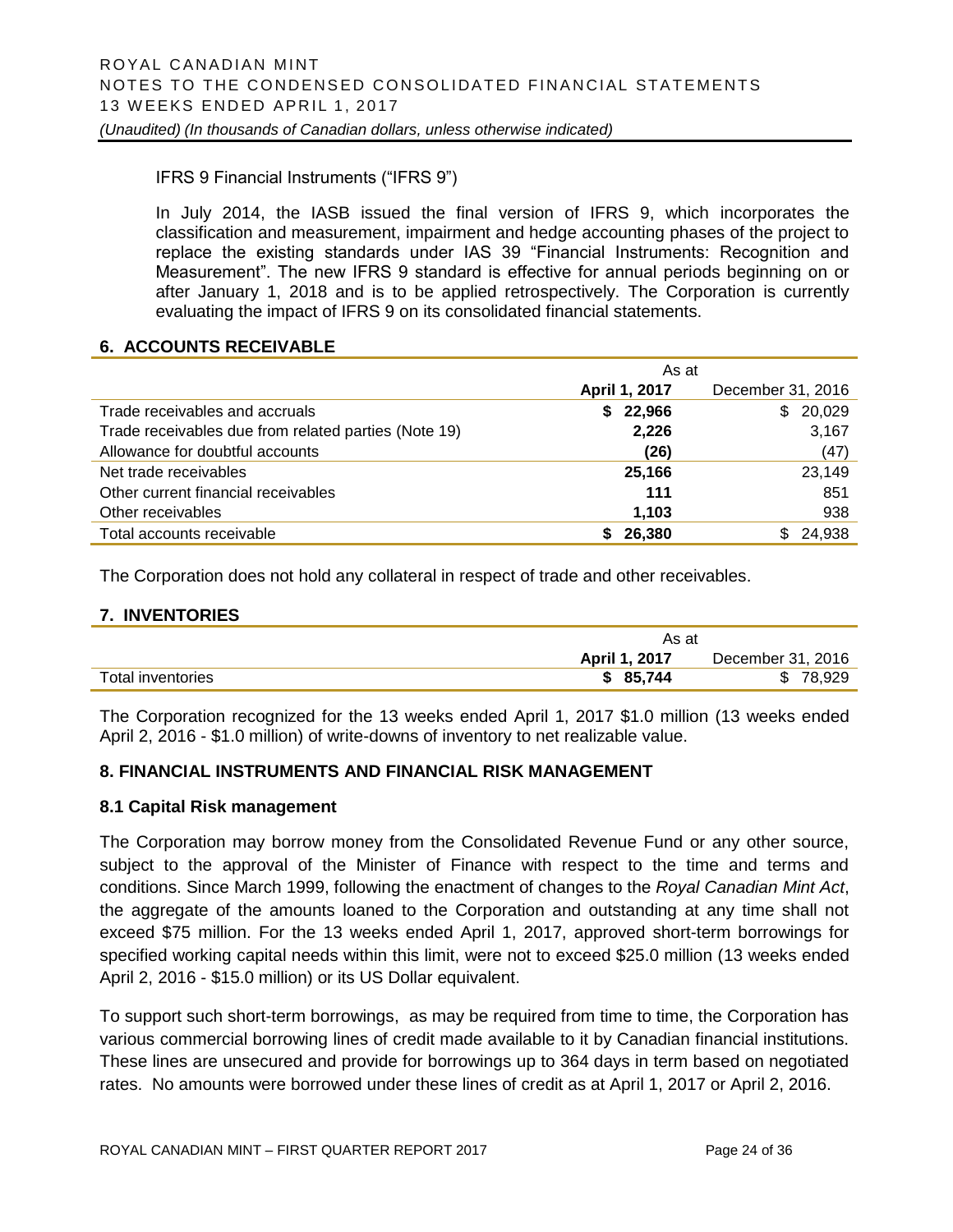#### IFRS 9 Financial Instruments ("IFRS 9")

In July 2014, the IASB issued the final version of IFRS 9, which incorporates the classification and measurement, impairment and hedge accounting phases of the project to replace the existing standards under IAS 39 "Financial Instruments: Recognition and Measurement". The new IFRS 9 standard is effective for annual periods beginning on or after January 1, 2018 and is to be applied retrospectively. The Corporation is currently evaluating the impact of IFRS 9 on its consolidated financial statements.

#### **6. ACCOUNTS RECEIVABLE**

|                                                      | As at         |                   |  |  |
|------------------------------------------------------|---------------|-------------------|--|--|
|                                                      | April 1, 2017 | December 31, 2016 |  |  |
| Trade receivables and accruals                       | 22,966<br>S.  | \$20,029          |  |  |
| Trade receivables due from related parties (Note 19) | 2,226         | 3,167             |  |  |
| Allowance for doubtful accounts                      | (26)          | (47)              |  |  |
| Net trade receivables                                | 25,166        | 23,149            |  |  |
| Other current financial receivables                  | 111           | 851               |  |  |
| Other receivables                                    | 1,103         | 938               |  |  |
| Total accounts receivable                            | 26,380        | \$24,938          |  |  |

The Corporation does not hold any collateral in respect of trade and other receivables.

#### **7. INVENTORIES**

|                   | As at         |                   |
|-------------------|---------------|-------------------|
|                   | April 1, 2017 | December 31, 2016 |
| Total inventories | \$85,744      | 78,929            |

The Corporation recognized for the 13 weeks ended April 1, 2017 \$1.0 million (13 weeks ended April 2, 2016 - \$1.0 million) of write-downs of inventory to net realizable value.

#### **8. FINANCIAL INSTRUMENTS AND FINANCIAL RISK MANAGEMENT**

#### **8.1 Capital Risk management**

The Corporation may borrow money from the Consolidated Revenue Fund or any other source, subject to the approval of the Minister of Finance with respect to the time and terms and conditions. Since March 1999, following the enactment of changes to the *Royal Canadian Mint Act*, the aggregate of the amounts loaned to the Corporation and outstanding at any time shall not exceed \$75 million. For the 13 weeks ended April 1, 2017, approved short-term borrowings for specified working capital needs within this limit, were not to exceed \$25.0 million (13 weeks ended April 2, 2016 - \$15.0 million) or its US Dollar equivalent.

To support such short-term borrowings, as may be required from time to time, the Corporation has various commercial borrowing lines of credit made available to it by Canadian financial institutions. These lines are unsecured and provide for borrowings up to 364 days in term based on negotiated rates. No amounts were borrowed under these lines of credit as at April 1, 2017 or April 2, 2016.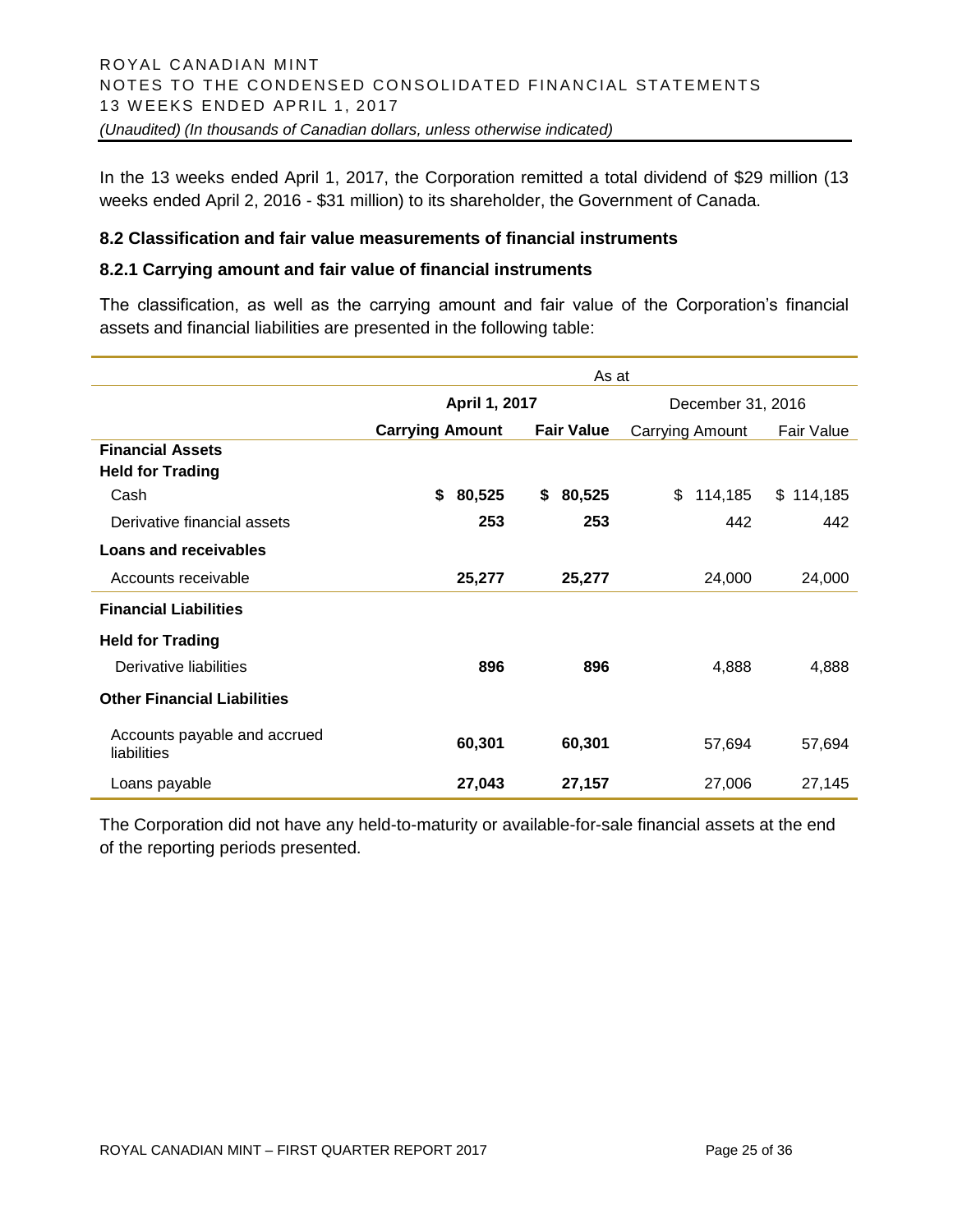In the 13 weeks ended April 1, 2017, the Corporation remitted a total dividend of \$29 million (13 weeks ended April 2, 2016 - \$31 million) to its shareholder, the Government of Canada.

#### **8.2 Classification and fair value measurements of financial instruments**

#### **8.2.1 Carrying amount and fair value of financial instruments**

The classification, as well as the carrying amount and fair value of the Corporation's financial assets and financial liabilities are presented in the following table:

|                                             | As at                  |                   |                        |               |  |
|---------------------------------------------|------------------------|-------------------|------------------------|---------------|--|
|                                             | April 1, 2017          |                   | December 31, 2016      |               |  |
|                                             | <b>Carrying Amount</b> | <b>Fair Value</b> | <b>Carrying Amount</b> | Fair Value    |  |
| <b>Financial Assets</b>                     |                        |                   |                        |               |  |
| <b>Held for Trading</b>                     |                        |                   |                        |               |  |
| Cash                                        | \$<br>80,525           | 80,525<br>\$      | 114,185<br>\$          | \$<br>114,185 |  |
| Derivative financial assets                 | 253                    | 253               | 442                    | 442           |  |
| <b>Loans and receivables</b>                |                        |                   |                        |               |  |
| Accounts receivable                         | 25,277                 | 25,277            | 24,000                 | 24,000        |  |
| <b>Financial Liabilities</b>                |                        |                   |                        |               |  |
| <b>Held for Trading</b>                     |                        |                   |                        |               |  |
| Derivative liabilities                      | 896                    | 896               | 4,888                  | 4,888         |  |
| <b>Other Financial Liabilities</b>          |                        |                   |                        |               |  |
| Accounts payable and accrued<br>liabilities | 60,301                 | 60,301            | 57,694                 | 57,694        |  |
| Loans payable                               | 27,043                 | 27,157            | 27,006                 | 27,145        |  |

The Corporation did not have any held-to-maturity or available-for-sale financial assets at the end of the reporting periods presented.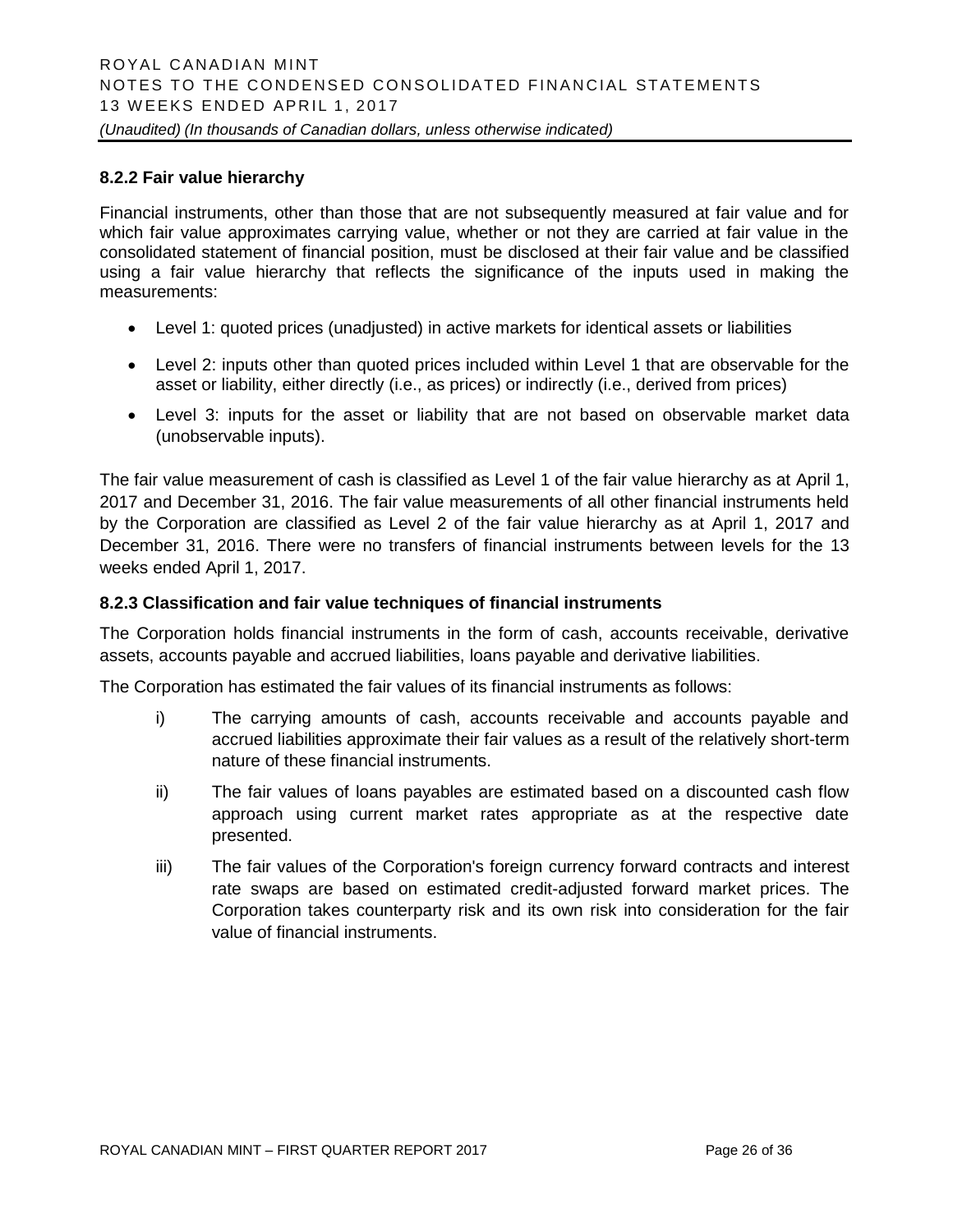#### **8.2.2 Fair value hierarchy**

Financial instruments, other than those that are not subsequently measured at fair value and for which fair value approximates carrying value, whether or not they are carried at fair value in the consolidated statement of financial position, must be disclosed at their fair value and be classified using a fair value hierarchy that reflects the significance of the inputs used in making the measurements:

- Level 1: quoted prices (unadjusted) in active markets for identical assets or liabilities
- Level 2: inputs other than quoted prices included within Level 1 that are observable for the asset or liability, either directly (i.e., as prices) or indirectly (i.e., derived from prices)
- Level 3: inputs for the asset or liability that are not based on observable market data (unobservable inputs).

The fair value measurement of cash is classified as Level 1 of the fair value hierarchy as at April 1, 2017 and December 31, 2016. The fair value measurements of all other financial instruments held by the Corporation are classified as Level 2 of the fair value hierarchy as at April 1, 2017 and December 31, 2016. There were no transfers of financial instruments between levels for the 13 weeks ended April 1, 2017.

#### **8.2.3 Classification and fair value techniques of financial instruments**

The Corporation holds financial instruments in the form of cash, accounts receivable, derivative assets, accounts payable and accrued liabilities, loans payable and derivative liabilities.

The Corporation has estimated the fair values of its financial instruments as follows:

- i) The carrying amounts of cash, accounts receivable and accounts payable and accrued liabilities approximate their fair values as a result of the relatively short-term nature of these financial instruments.
- ii) The fair values of loans payables are estimated based on a discounted cash flow approach using current market rates appropriate as at the respective date presented.
- iii) The fair values of the Corporation's foreign currency forward contracts and interest rate swaps are based on estimated credit-adjusted forward market prices. The Corporation takes counterparty risk and its own risk into consideration for the fair value of financial instruments.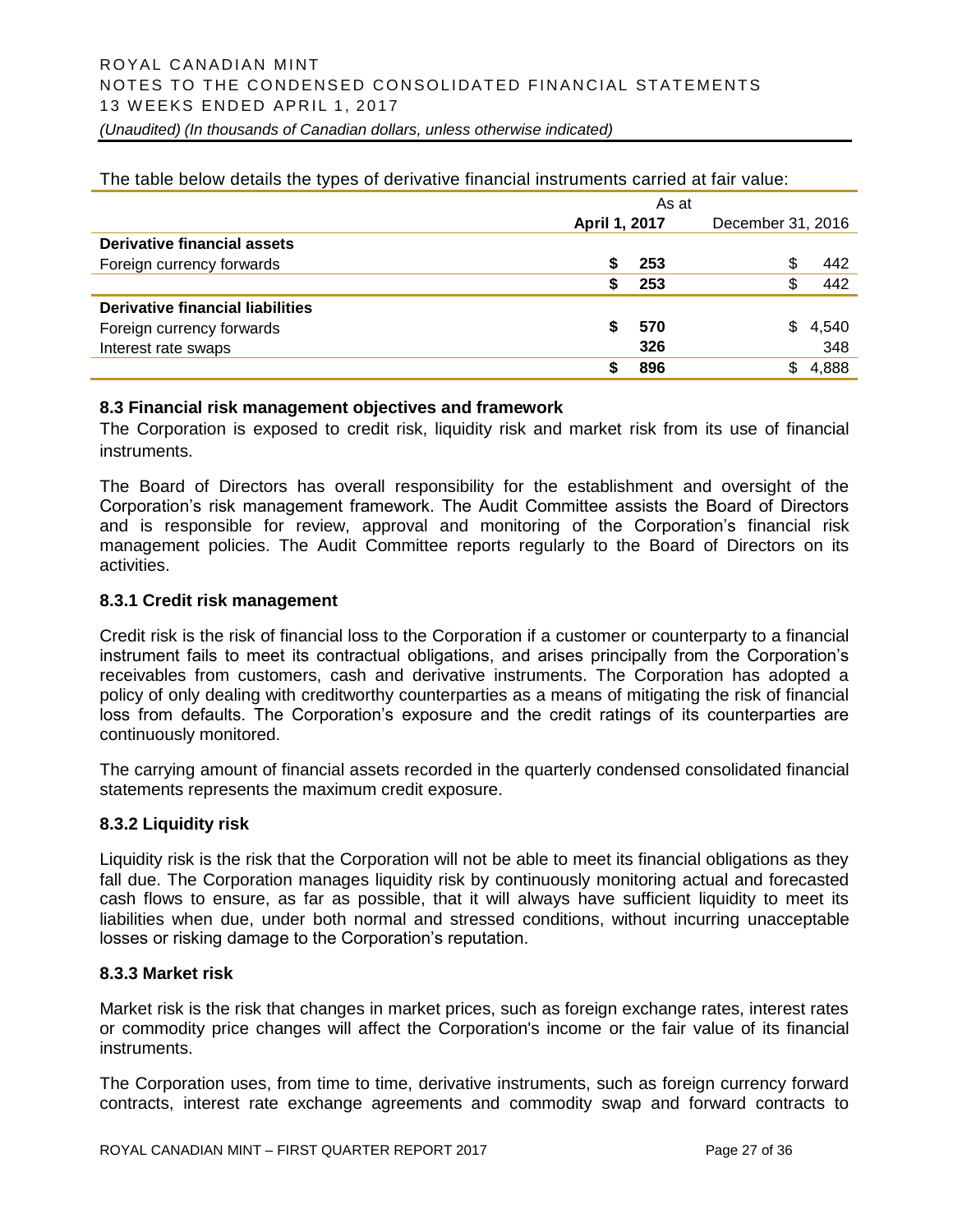|                                  |               | As at |                   |       |
|----------------------------------|---------------|-------|-------------------|-------|
|                                  | April 1, 2017 |       | December 31, 2016 |       |
| Derivative financial assets      |               |       |                   |       |
| Foreign currency forwards        |               | 253   | \$                | 442   |
|                                  |               | 253   | \$                | 442   |
| Derivative financial liabilities |               |       |                   |       |
| Foreign currency forwards        | S             | 570   | S                 | 4,540 |
| Interest rate swaps              |               | 326   |                   | 348   |
|                                  |               | 896   | \$                | 4,888 |

The table below details the types of derivative financial instruments carried at fair value:

#### **8.3 Financial risk management objectives and framework**

The Corporation is exposed to credit risk, liquidity risk and market risk from its use of financial instruments.

The Board of Directors has overall responsibility for the establishment and oversight of the Corporation's risk management framework. The Audit Committee assists the Board of Directors and is responsible for review, approval and monitoring of the Corporation's financial risk management policies. The Audit Committee reports regularly to the Board of Directors on its activities.

#### **8.3.1 Credit risk management**

Credit risk is the risk of financial loss to the Corporation if a customer or counterparty to a financial instrument fails to meet its contractual obligations, and arises principally from the Corporation's receivables from customers, cash and derivative instruments. The Corporation has adopted a policy of only dealing with creditworthy counterparties as a means of mitigating the risk of financial loss from defaults. The Corporation's exposure and the credit ratings of its counterparties are continuously monitored.

The carrying amount of financial assets recorded in the quarterly condensed consolidated financial statements represents the maximum credit exposure.

#### **8.3.2 Liquidity risk**

Liquidity risk is the risk that the Corporation will not be able to meet its financial obligations as they fall due. The Corporation manages liquidity risk by continuously monitoring actual and forecasted cash flows to ensure, as far as possible, that it will always have sufficient liquidity to meet its liabilities when due, under both normal and stressed conditions, without incurring unacceptable losses or risking damage to the Corporation's reputation.

#### **8.3.3 Market risk**

Market risk is the risk that changes in market prices, such as foreign exchange rates, interest rates or commodity price changes will affect the Corporation's income or the fair value of its financial instruments.

The Corporation uses, from time to time, derivative instruments, such as foreign currency forward contracts, interest rate exchange agreements and commodity swap and forward contracts to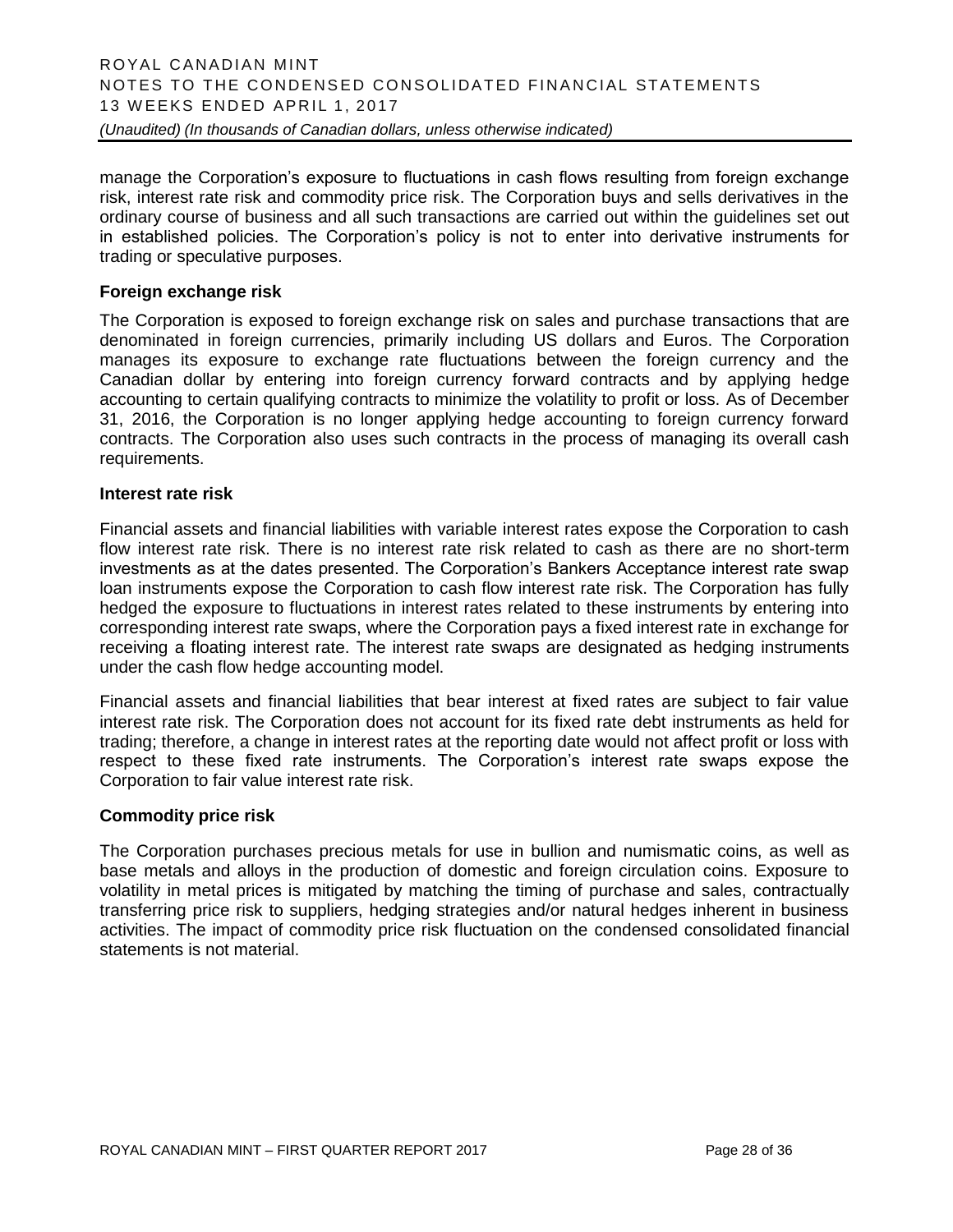manage the Corporation's exposure to fluctuations in cash flows resulting from foreign exchange risk, interest rate risk and commodity price risk. The Corporation buys and sells derivatives in the ordinary course of business and all such transactions are carried out within the guidelines set out in established policies. The Corporation's policy is not to enter into derivative instruments for trading or speculative purposes.

#### **Foreign exchange risk**

The Corporation is exposed to foreign exchange risk on sales and purchase transactions that are denominated in foreign currencies, primarily including US dollars and Euros. The Corporation manages its exposure to exchange rate fluctuations between the foreign currency and the Canadian dollar by entering into foreign currency forward contracts and by applying hedge accounting to certain qualifying contracts to minimize the volatility to profit or loss. As of December 31, 2016, the Corporation is no longer applying hedge accounting to foreign currency forward contracts. The Corporation also uses such contracts in the process of managing its overall cash requirements.

#### **Interest rate risk**

Financial assets and financial liabilities with variable interest rates expose the Corporation to cash flow interest rate risk. There is no interest rate risk related to cash as there are no short-term investments as at the dates presented. The Corporation's Bankers Acceptance interest rate swap loan instruments expose the Corporation to cash flow interest rate risk. The Corporation has fully hedged the exposure to fluctuations in interest rates related to these instruments by entering into corresponding interest rate swaps, where the Corporation pays a fixed interest rate in exchange for receiving a floating interest rate. The interest rate swaps are designated as hedging instruments under the cash flow hedge accounting model.

Financial assets and financial liabilities that bear interest at fixed rates are subject to fair value interest rate risk. The Corporation does not account for its fixed rate debt instruments as held for trading; therefore, a change in interest rates at the reporting date would not affect profit or loss with respect to these fixed rate instruments. The Corporation's interest rate swaps expose the Corporation to fair value interest rate risk.

#### **Commodity price risk**

The Corporation purchases precious metals for use in bullion and numismatic coins, as well as base metals and alloys in the production of domestic and foreign circulation coins. Exposure to volatility in metal prices is mitigated by matching the timing of purchase and sales, contractually transferring price risk to suppliers, hedging strategies and/or natural hedges inherent in business activities. The impact of commodity price risk fluctuation on the condensed consolidated financial statements is not material.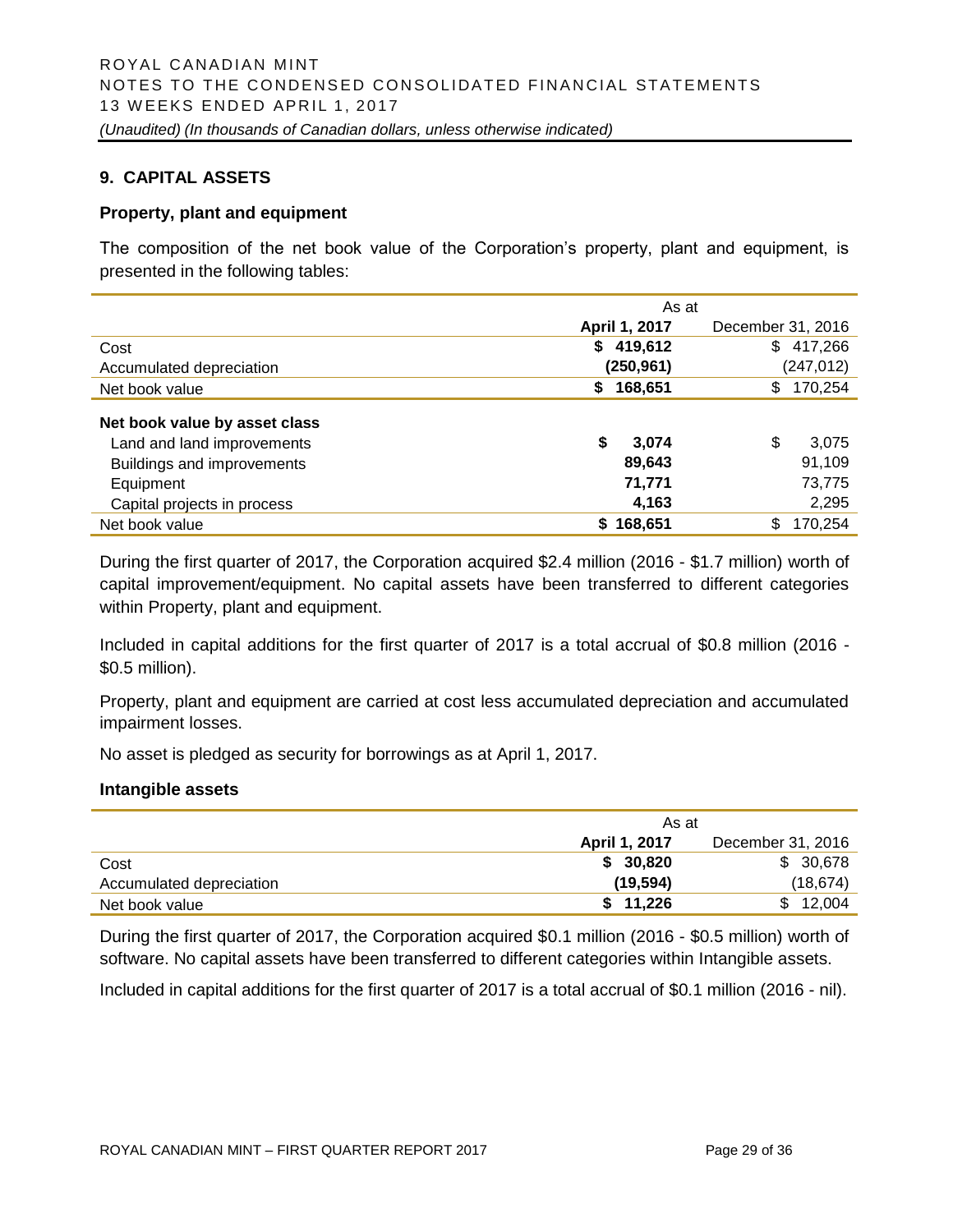#### **9. CAPITAL ASSETS**

#### **Property, plant and equipment**

The composition of the net book value of the Corporation's property, plant and equipment, is presented in the following tables:

|                                                                                                                                       | As at                                    |                                          |  |
|---------------------------------------------------------------------------------------------------------------------------------------|------------------------------------------|------------------------------------------|--|
|                                                                                                                                       | April 1, 2017                            | December 31, 2016                        |  |
| Cost                                                                                                                                  | 419,612<br>\$                            | 417,266<br>\$                            |  |
| Accumulated depreciation                                                                                                              | (250,961)                                | (247, 012)                               |  |
| Net book value                                                                                                                        | 168,651<br>\$                            | 170,254<br>\$                            |  |
| Net book value by asset class<br>Land and land improvements<br>Buildings and improvements<br>Equipment<br>Capital projects in process | \$<br>3,074<br>89,643<br>71,771<br>4,163 | \$<br>3,075<br>91,109<br>73,775<br>2,295 |  |
| Net book value                                                                                                                        | \$168,651                                | 170,254<br>\$                            |  |
|                                                                                                                                       |                                          |                                          |  |

During the first quarter of 2017, the Corporation acquired \$2.4 million (2016 - \$1.7 million) worth of capital improvement/equipment. No capital assets have been transferred to different categories within Property, plant and equipment.

Included in capital additions for the first quarter of 2017 is a total accrual of \$0.8 million (2016 - \$0.5 million).

Property, plant and equipment are carried at cost less accumulated depreciation and accumulated impairment losses.

No asset is pledged as security for borrowings as at April 1, 2017.

#### **Intangible assets**

|                          | As at                |                   |  |  |
|--------------------------|----------------------|-------------------|--|--|
|                          | <b>April 1, 2017</b> | December 31, 2016 |  |  |
| Cost                     | \$30,820             | \$ 30,678         |  |  |
| Accumulated depreciation | (19, 594)            | (18, 674)         |  |  |
| Net book value           | \$11,226             | \$12,004          |  |  |

During the first quarter of 2017, the Corporation acquired \$0.1 million (2016 - \$0.5 million) worth of software. No capital assets have been transferred to different categories within Intangible assets.

Included in capital additions for the first quarter of 2017 is a total accrual of \$0.1 million (2016 - nil).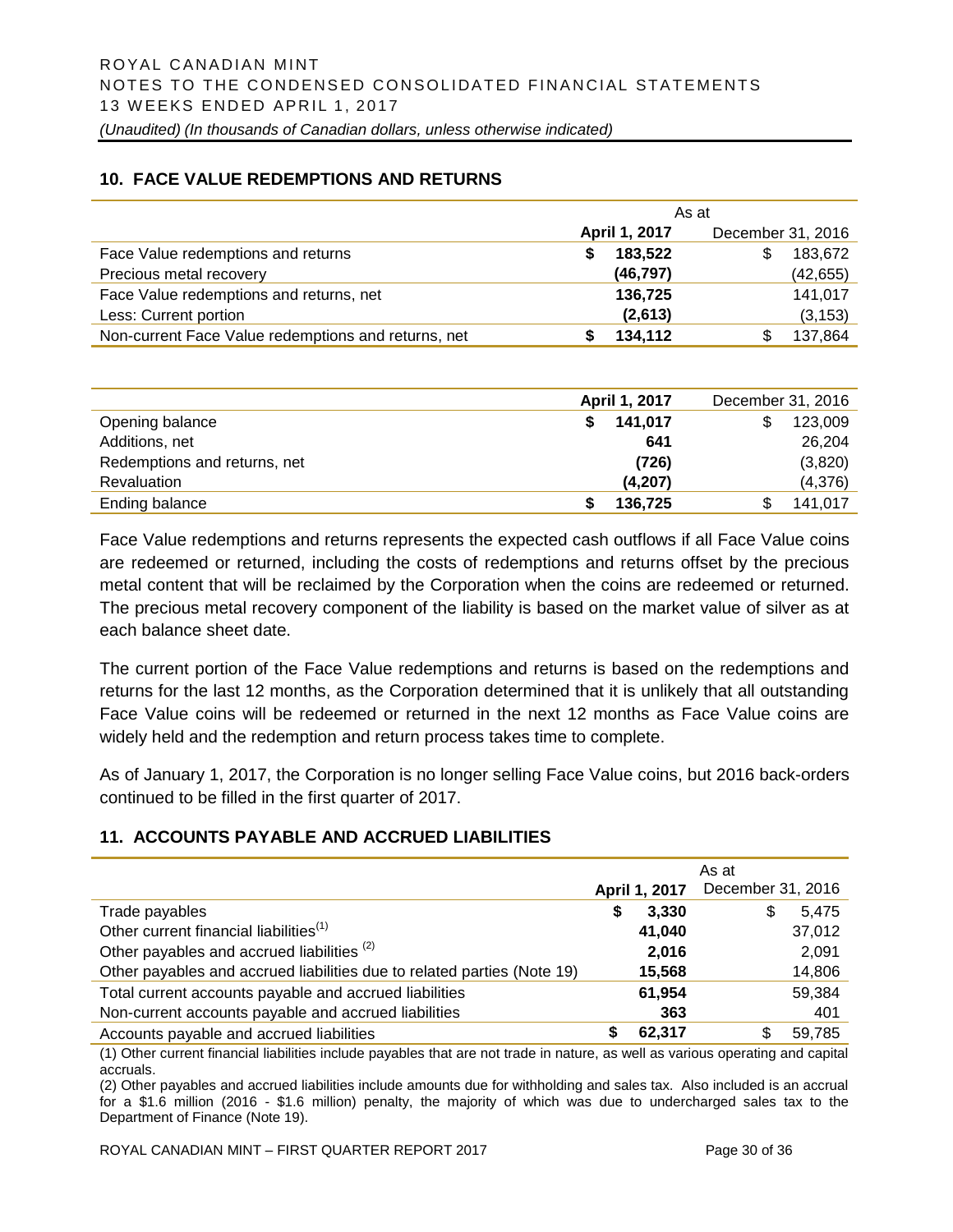#### **10. FACE VALUE REDEMPTIONS AND RETURNS**

|                                                     | As at         |                   |  |  |
|-----------------------------------------------------|---------------|-------------------|--|--|
|                                                     | April 1, 2017 | December 31, 2016 |  |  |
| Face Value redemptions and returns                  | 183,522<br>S  | 183,672<br>S      |  |  |
| Precious metal recovery                             | (46, 797)     | (42, 655)         |  |  |
| Face Value redemptions and returns, net             | 136,725       | 141,017           |  |  |
| Less: Current portion                               | (2,613)       | (3, 153)          |  |  |
| Non-current Face Value redemptions and returns, net | 134,112       | 137,864           |  |  |

|                              | April 1, 2017 | December 31, 2016 |
|------------------------------|---------------|-------------------|
| Opening balance              | 141,017       | 123,009<br>S      |
| Additions, net               | 641           | 26,204            |
| Redemptions and returns, net | (726)         | (3,820)           |
| Revaluation                  | (4, 207)      | (4,376)           |
| Ending balance               | 136,725       | 141,017           |

Face Value redemptions and returns represents the expected cash outflows if all Face Value coins are redeemed or returned, including the costs of redemptions and returns offset by the precious metal content that will be reclaimed by the Corporation when the coins are redeemed or returned. The precious metal recovery component of the liability is based on the market value of silver as at each balance sheet date.

The current portion of the Face Value redemptions and returns is based on the redemptions and returns for the last 12 months, as the Corporation determined that it is unlikely that all outstanding Face Value coins will be redeemed or returned in the next 12 months as Face Value coins are widely held and the redemption and return process takes time to complete.

As of January 1, 2017, the Corporation is no longer selling Face Value coins, but 2016 back-orders continued to be filled in the first quarter of 2017.

# **11. ACCOUNTS PAYABLE AND ACCRUED LIABILITIES**

|                                                                         |   |               | As at             |        |
|-------------------------------------------------------------------------|---|---------------|-------------------|--------|
|                                                                         |   | April 1, 2017 | December 31, 2016 |        |
| Trade payables                                                          | S | 3,330         | S                 | 5.475  |
| Other current financial liabilities <sup>(1)</sup>                      |   | 41,040        |                   | 37,012 |
| Other payables and accrued liabilities <sup>(2)</sup>                   |   | 2,016         |                   | 2.091  |
| Other payables and accrued liabilities due to related parties (Note 19) |   | 15,568        |                   | 14,806 |
| Total current accounts payable and accrued liabilities                  |   | 61,954        |                   | 59,384 |
| Non-current accounts payable and accrued liabilities                    |   | 363           |                   | 401    |
| Accounts payable and accrued liabilities                                |   | 62,317        | S                 | 59,785 |

(1) Other current financial liabilities include payables that are not trade in nature, as well as various operating and capital accruals.

(2) Other payables and accrued liabilities include amounts due for withholding and sales tax. Also included is an accrual for a \$1.6 million (2016 - \$1.6 million) penalty, the majority of which was due to undercharged sales tax to the Department of Finance (Note 19).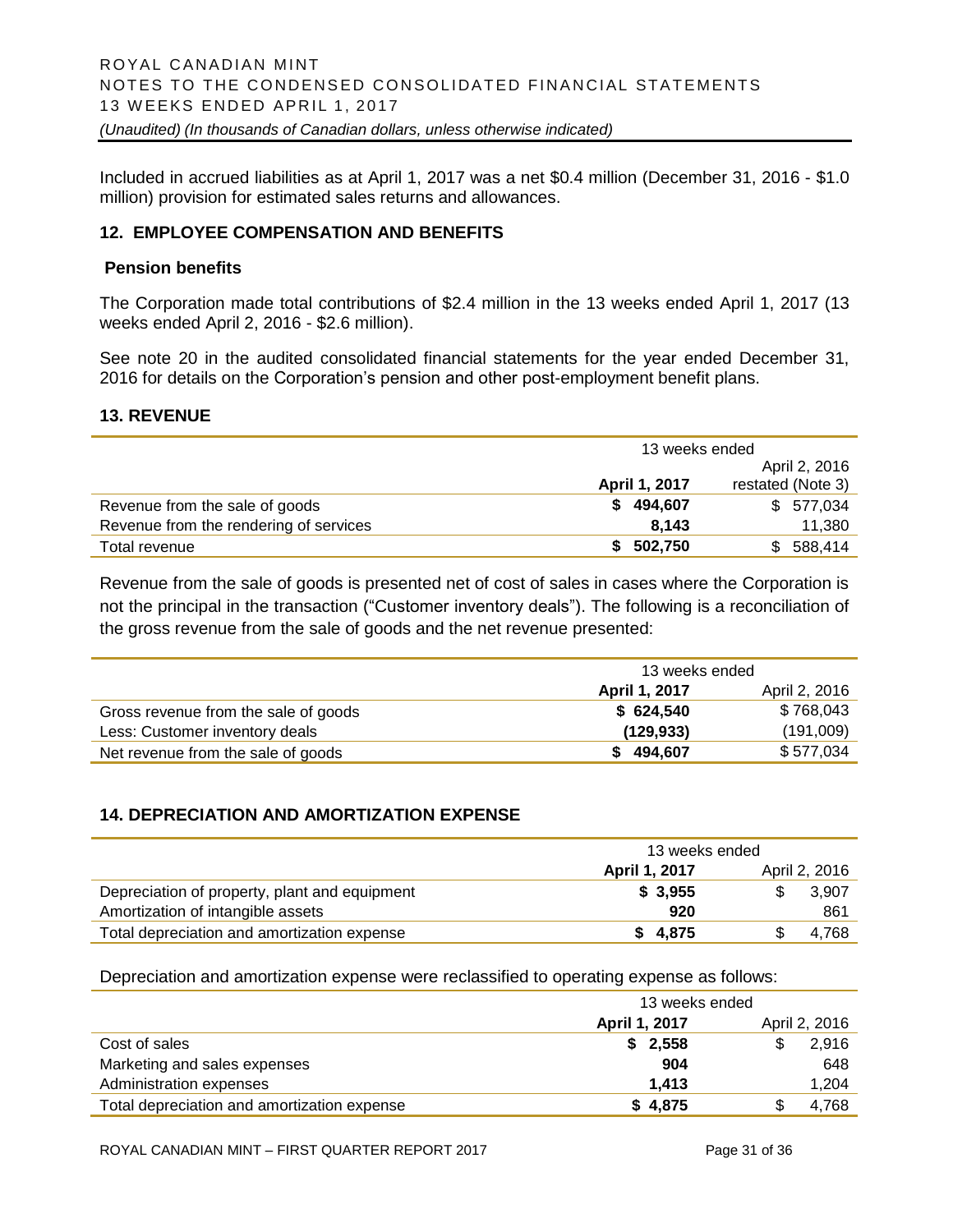Included in accrued liabilities as at April 1, 2017 was a net \$0.4 million (December 31, 2016 - \$1.0 million) provision for estimated sales returns and allowances.

#### **12. EMPLOYEE COMPENSATION AND BENEFITS**

#### **Pension benefits**

The Corporation made total contributions of \$2.4 million in the 13 weeks ended April 1, 2017 (13 weeks ended April 2, 2016 - \$2.6 million).

See note 20 in the audited consolidated financial statements for the year ended December 31, 2016 for details on the Corporation's pension and other post-employment benefit plans.

#### **13. REVENUE**

|                                        | 13 weeks ended |                   |
|----------------------------------------|----------------|-------------------|
|                                        |                | April 2, 2016     |
|                                        | April 1, 2017  | restated (Note 3) |
| Revenue from the sale of goods         | 494,607<br>S.  | \$577,034         |
| Revenue from the rendering of services | 8.143          | 11,380            |
| Total revenue                          | 502,750<br>S.  | 588,414<br>\$.    |

Revenue from the sale of goods is presented net of cost of sales in cases where the Corporation is not the principal in the transaction ("Customer inventory deals"). The following is a reconciliation of the gross revenue from the sale of goods and the net revenue presented:

|                                      | 13 weeks ended |               |
|--------------------------------------|----------------|---------------|
|                                      | April 1, 2017  | April 2, 2016 |
| Gross revenue from the sale of goods | \$624,540      | \$768,043     |
| Less: Customer inventory deals       | (129, 933)     | (191,009)     |
| Net revenue from the sale of goods   | \$494,607      | \$577,034     |

#### **14. DEPRECIATION AND AMORTIZATION EXPENSE**

|                                               | 13 weeks ended |  |               |
|-----------------------------------------------|----------------|--|---------------|
|                                               | April 1, 2017  |  | April 2, 2016 |
| Depreciation of property, plant and equipment | \$3,955        |  | 3.907         |
| Amortization of intangible assets             | 920            |  | 861           |
| Total depreciation and amortization expense   | \$4,875        |  | 4.768         |

Depreciation and amortization expense were reclassified to operating expense as follows:

|                                             | 13 weeks ended |               |
|---------------------------------------------|----------------|---------------|
|                                             | April 1, 2017  | April 2, 2016 |
| Cost of sales                               | \$2,558        | 2,916         |
| Marketing and sales expenses                | 904            | 648           |
| Administration expenses                     | 1.413          | 1.204         |
| Total depreciation and amortization expense | \$4,875        | 4.768         |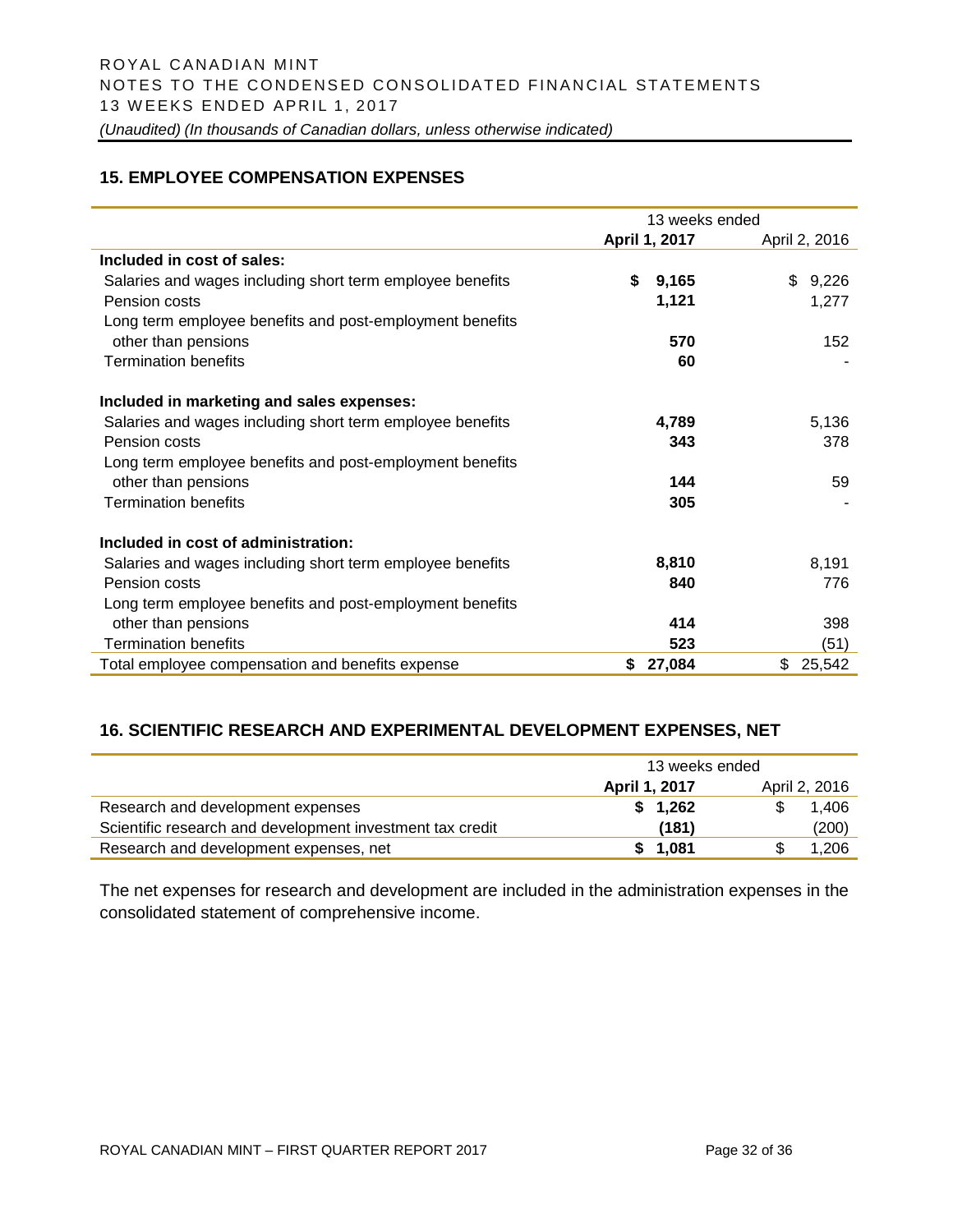#### **15. EMPLOYEE COMPENSATION EXPENSES**

|                                                           | 13 weeks ended |               |
|-----------------------------------------------------------|----------------|---------------|
|                                                           | April 1, 2017  | April 2, 2016 |
| Included in cost of sales:                                |                |               |
| Salaries and wages including short term employee benefits | \$<br>9,165    | \$<br>9,226   |
| Pension costs                                             | 1,121          | 1,277         |
| Long term employee benefits and post-employment benefits  |                |               |
| other than pensions                                       | 570            | 152           |
| <b>Termination benefits</b>                               | 60             |               |
| Included in marketing and sales expenses:                 |                |               |
| Salaries and wages including short term employee benefits | 4,789          | 5,136         |
| Pension costs                                             | 343            | 378           |
| Long term employee benefits and post-employment benefits  |                |               |
| other than pensions                                       | 144            | 59            |
| <b>Termination benefits</b>                               | 305            |               |
| Included in cost of administration:                       |                |               |
| Salaries and wages including short term employee benefits | 8,810          | 8,191         |
| Pension costs                                             | 840            | 776           |
| Long term employee benefits and post-employment benefits  |                |               |
| other than pensions                                       | 414            | 398           |
| <b>Termination benefits</b>                               | 523            | (51)          |
| Total employee compensation and benefits expense          | \$<br>27,084   | \$<br>25,542  |

# **16. SCIENTIFIC RESEARCH AND EXPERIMENTAL DEVELOPMENT EXPENSES, NET**

|                                                           | 13 weeks ended |               |
|-----------------------------------------------------------|----------------|---------------|
|                                                           | April 1, 2017  | April 2, 2016 |
| Research and development expenses                         | \$1.262        | 1.406         |
| Scientific research and development investment tax credit | (181)          | (200)         |
| Research and development expenses, net                    | \$1.081        | 1.206         |

The net expenses for research and development are included in the administration expenses in the consolidated statement of comprehensive income.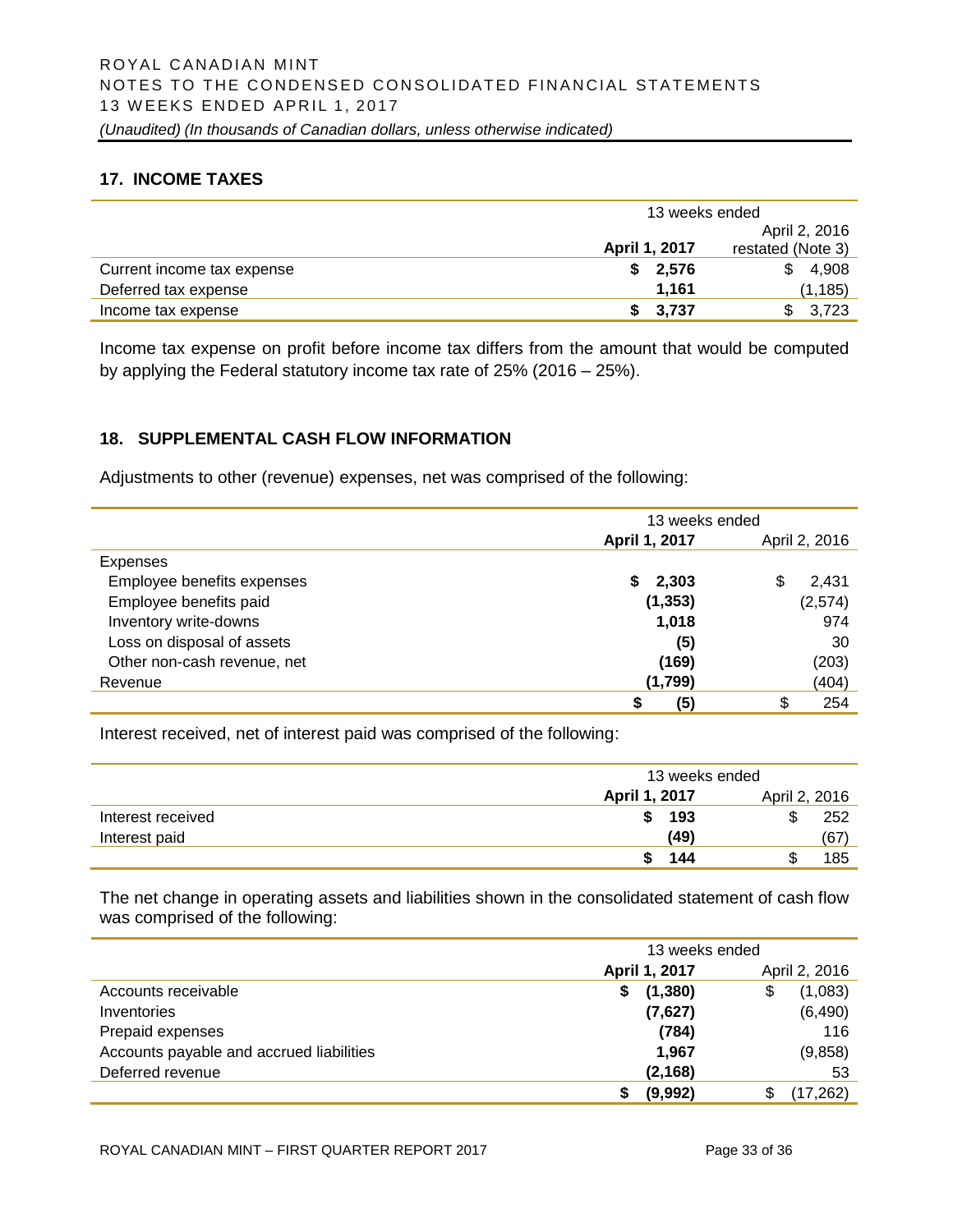# **17. INCOME TAXES**

|                            | 13 weeks ended |                   |
|----------------------------|----------------|-------------------|
|                            |                | April 2, 2016     |
|                            | April 1, 2017  | restated (Note 3) |
| Current income tax expense | 2,576<br>S.    | 4,908<br>\$.      |
| Deferred tax expense       | 1.161          | (1, 185)          |
| Income tax expense         | \$3,737        | 3.723             |

Income tax expense on profit before income tax differs from the amount that would be computed by applying the Federal statutory income tax rate of 25% (2016 – 25%).

#### **18. SUPPLEMENTAL CASH FLOW INFORMATION**

Adjustments to other (revenue) expenses, net was comprised of the following:

|                             | 13 weeks ended |               |  |
|-----------------------------|----------------|---------------|--|
|                             | April 1, 2017  | April 2, 2016 |  |
| Expenses                    |                |               |  |
| Employee benefits expenses  | 2,303<br>S.    | 2,431<br>S    |  |
| Employee benefits paid      | (1, 353)       | (2,574)       |  |
| Inventory write-downs       | 1,018          | 974           |  |
| Loss on disposal of assets  | (5)            | 30            |  |
| Other non-cash revenue, net | (169)          | (203)         |  |
| Revenue                     | (1,799)        | (404)         |  |
|                             | (5)<br>S       | \$<br>254     |  |

Interest received, net of interest paid was comprised of the following:

|                   | 13 weeks ended |      |               |      |
|-------------------|----------------|------|---------------|------|
|                   | April 1, 2017  |      | April 2, 2016 |      |
| Interest received | S              | 193  | \$            | 252  |
| Interest paid     |                | (49) |               | (67) |
|                   |                | 144  | ۰D            | 185  |

The net change in operating assets and liabilities shown in the consolidated statement of cash flow was comprised of the following:

|                                          | 13 weeks ended |               |
|------------------------------------------|----------------|---------------|
|                                          | April 1, 2017  | April 2, 2016 |
| Accounts receivable                      | (1, 380)<br>S  | (1,083)<br>\$ |
| Inventories                              | (7,627)        | (6,490)       |
| Prepaid expenses                         | (784)          | 116           |
| Accounts payable and accrued liabilities | 1,967          | (9,858)       |
| Deferred revenue                         | (2, 168)       | 53            |
|                                          | (9,992)        | (17, 262)     |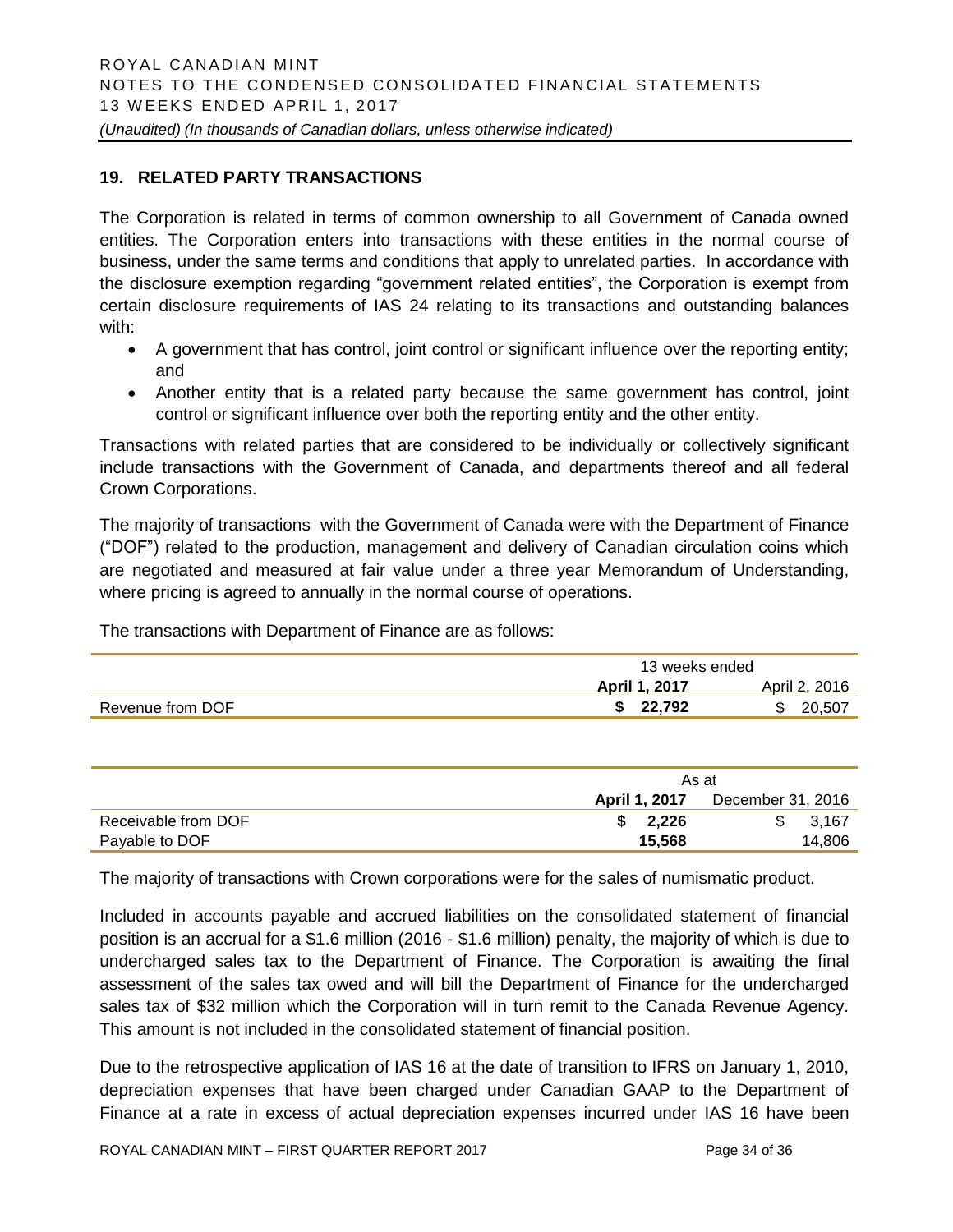# **19. RELATED PARTY TRANSACTIONS**

The Corporation is related in terms of common ownership to all Government of Canada owned entities. The Corporation enters into transactions with these entities in the normal course of business, under the same terms and conditions that apply to unrelated parties. In accordance with the disclosure exemption regarding "government related entities", the Corporation is exempt from certain disclosure requirements of IAS 24 relating to its transactions and outstanding balances with:

- A government that has control, joint control or significant influence over the reporting entity; and
- Another entity that is a related party because the same government has control, joint control or significant influence over both the reporting entity and the other entity.

Transactions with related parties that are considered to be individually or collectively significant include transactions with the Government of Canada, and departments thereof and all federal Crown Corporations.

The majority of transactions with the Government of Canada were with the Department of Finance ("DOF") related to the production, management and delivery of Canadian circulation coins which are negotiated and measured at fair value under a three year Memorandum of Understanding, where pricing is agreed to annually in the normal course of operations.

The transactions with Department of Finance are as follows:

|                  | 13 weeks ended |               |  |
|------------------|----------------|---------------|--|
|                  | April 1, 2017  | April 2, 2016 |  |
| Revenue from DOF | 22.792         | 20,507<br>S   |  |

|                     | As at         |                   |  |
|---------------------|---------------|-------------------|--|
|                     | April 1, 2017 | December 31, 2016 |  |
| Receivable from DOF | \$2.226       | 3.167<br>\$.      |  |
| Payable to DOF      | 15,568        | 14,806            |  |

The majority of transactions with Crown corporations were for the sales of numismatic product.

Included in accounts payable and accrued liabilities on the consolidated statement of financial position is an accrual for a \$1.6 million (2016 - \$1.6 million) penalty, the majority of which is due to undercharged sales tax to the Department of Finance. The Corporation is awaiting the final assessment of the sales tax owed and will bill the Department of Finance for the undercharged sales tax of \$32 million which the Corporation will in turn remit to the Canada Revenue Agency. This amount is not included in the consolidated statement of financial position.

Due to the retrospective application of IAS 16 at the date of transition to IFRS on January 1, 2010, depreciation expenses that have been charged under Canadian GAAP to the Department of Finance at a rate in excess of actual depreciation expenses incurred under IAS 16 have been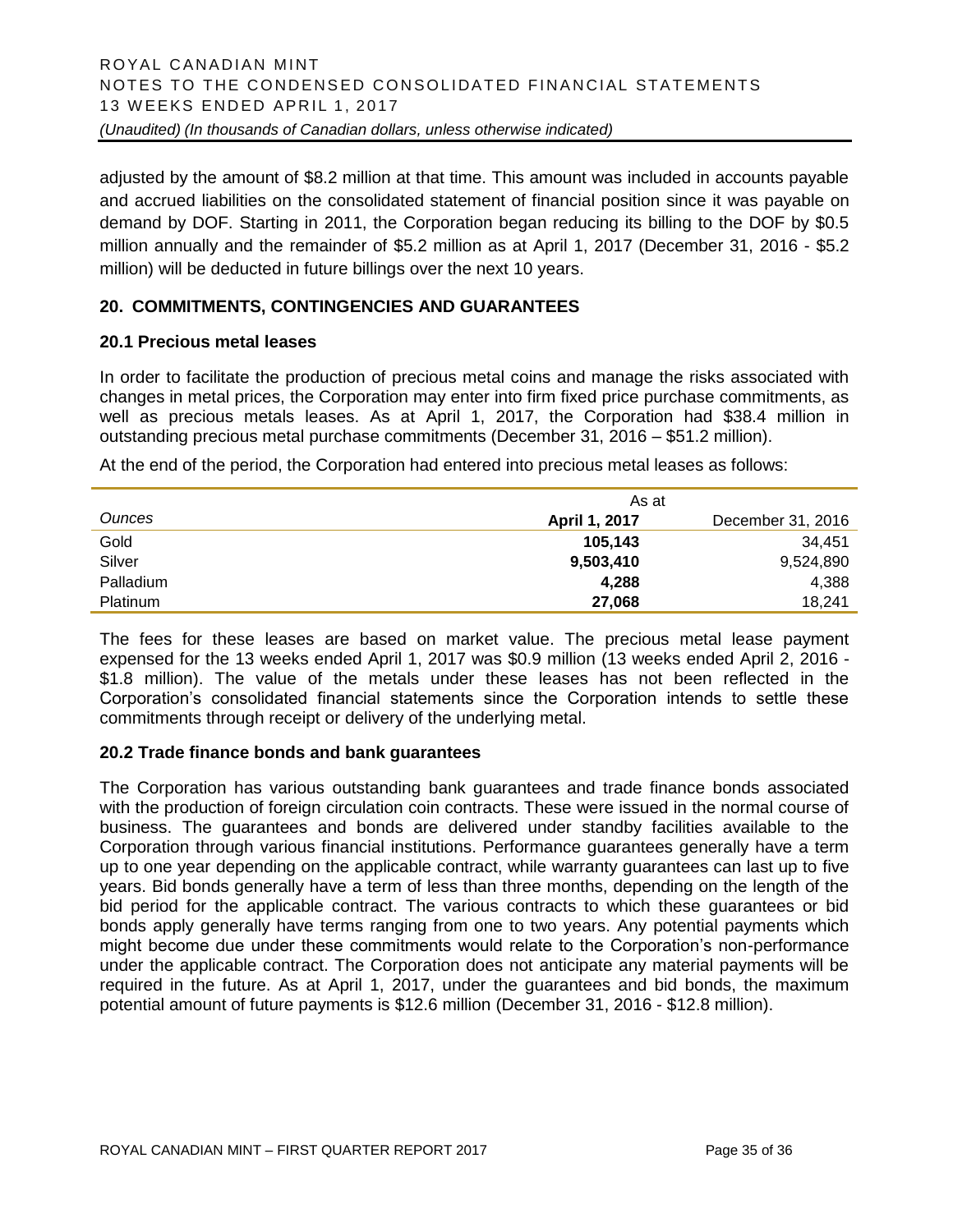adjusted by the amount of \$8.2 million at that time. This amount was included in accounts payable and accrued liabilities on the consolidated statement of financial position since it was payable on demand by DOF. Starting in 2011, the Corporation began reducing its billing to the DOF by \$0.5 million annually and the remainder of \$5.2 million as at April 1, 2017 (December 31, 2016 - \$5.2 million) will be deducted in future billings over the next 10 years.

# **20. COMMITMENTS, CONTINGENCIES AND GUARANTEES**

#### **20.1 Precious metal leases**

In order to facilitate the production of precious metal coins and manage the risks associated with changes in metal prices, the Corporation may enter into firm fixed price purchase commitments, as well as precious metals leases. As at April 1, 2017, the Corporation had \$38.4 million in outstanding precious metal purchase commitments (December 31, 2016 – \$51.2 million).

At the end of the period, the Corporation had entered into precious metal leases as follows:

|                 | As at         |                   |
|-----------------|---------------|-------------------|
| <b>Ounces</b>   | April 1, 2017 | December 31, 2016 |
| Gold            | 105,143       | 34.451            |
| Silver          | 9,503,410     | 9,524,890         |
| Palladium       | 4,288         | 4,388             |
| <b>Platinum</b> | 27.068        | 18.241            |

The fees for these leases are based on market value. The precious metal lease payment expensed for the 13 weeks ended April 1, 2017 was \$0.9 million (13 weeks ended April 2, 2016 - \$1.8 million). The value of the metals under these leases has not been reflected in the Corporation's consolidated financial statements since the Corporation intends to settle these commitments through receipt or delivery of the underlying metal.

#### **20.2 Trade finance bonds and bank guarantees**

The Corporation has various outstanding bank guarantees and trade finance bonds associated with the production of foreign circulation coin contracts. These were issued in the normal course of business. The guarantees and bonds are delivered under standby facilities available to the Corporation through various financial institutions. Performance guarantees generally have a term up to one year depending on the applicable contract, while warranty guarantees can last up to five years. Bid bonds generally have a term of less than three months, depending on the length of the bid period for the applicable contract. The various contracts to which these guarantees or bid bonds apply generally have terms ranging from one to two years. Any potential payments which might become due under these commitments would relate to the Corporation's non-performance under the applicable contract. The Corporation does not anticipate any material payments will be required in the future. As at April 1, 2017, under the guarantees and bid bonds, the maximum potential amount of future payments is \$12.6 million (December 31, 2016 - \$12.8 million).